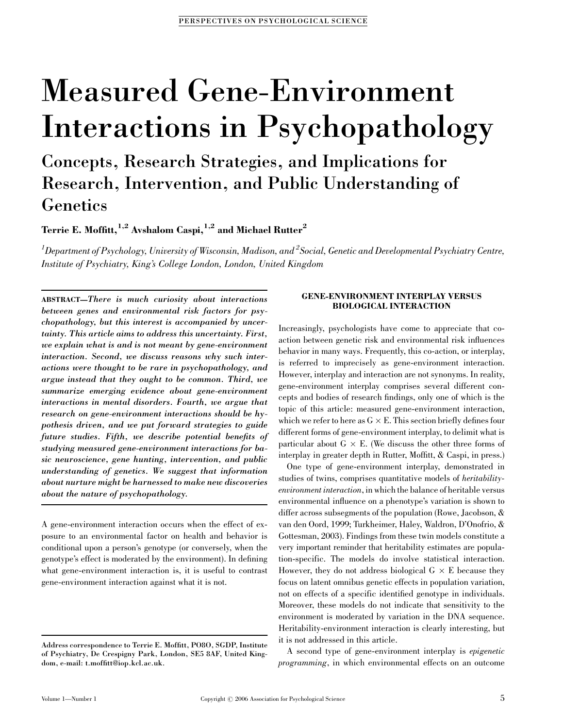# Measured Gene-Environment Interactions in Psychopathology

Concepts, Research Strategies, and Implications for Research, Intervention, and Public Understanding of **Genetics** 

Terrie E. Moffitt,  $1,2$  Avshalom Caspi,  $1,2$  and Michael Rutter<sup>2</sup>

 $^1$ Department of Psychology, University of Wisconsin, Madison, and  $^2$ Social, Genetic and Developmental Psychiatry Centre, Institute of Psychiatry, King's College London, London, United Kingdom

ABSTRACT—There is much curiosity about interactions between genes and environmental risk factors for psychopathology, but this interest is accompanied by uncertainty. This article aims to address this uncertainty. First, we explain what is and is not meant by gene-environment interaction. Second, we discuss reasons why such interactions were thought to be rare in psychopathology, and argue instead that they ought to be common. Third, we summarize emerging evidence about gene-environment interactions in mental disorders. Fourth, we argue that research on gene-environment interactions should be hypothesis driven, and we put forward strategies to guide future studies. Fifth, we describe potential benefits of studying measured gene-environment interactions for basic neuroscience, gene hunting, intervention, and public understanding of genetics. We suggest that information about nurture might be harnessed to make new discoveries about the nature of psychopathology.

A gene-environment interaction occurs when the effect of exposure to an environmental factor on health and behavior is conditional upon a person's genotype (or conversely, when the genotype's effect is moderated by the environment). In defining what gene-environment interaction is, it is useful to contrast gene-environment interaction against what it is not.

## GENE-ENVIRONMENT INTERPLAY VERSUS BIOLOGICAL INTERACTION

Increasingly, psychologists have come to appreciate that coaction between genetic risk and environmental risk influences behavior in many ways. Frequently, this co-action, or interplay, is referred to imprecisely as gene-environment interaction. However, interplay and interaction are not synonyms. In reality, gene-environment interplay comprises several different concepts and bodies of research findings, only one of which is the topic of this article: measured gene-environment interaction, which we refer to here as  $G \times E$ . This section briefly defines four different forms of gene-environment interplay, to delimit what is particular about  $G \times E$ . (We discuss the other three forms of interplay in greater depth in Rutter, Moffitt, & Caspi, in press.)

One type of gene-environment interplay, demonstrated in studies of twins, comprises quantitative models of heritabilityenvironment interaction, in which the balance of heritable versus environmental influence on a phenotype's variation is shown to differ across subsegments of the population (Rowe, Jacobson, & van den Oord, 1999; Turkheimer, Haley, Waldron, D'Onofrio, & Gottesman, 2003). Findings from these twin models constitute a very important reminder that heritability estimates are population-specific. The models do involve statistical interaction. However, they do not address biological  $G \times E$  because they focus on latent omnibus genetic effects in population variation, not on effects of a specific identified genotype in individuals. Moreover, these models do not indicate that sensitivity to the environment is moderated by variation in the DNA sequence. Heritability-environment interaction is clearly interesting, but it is not addressed in this article.

A second type of gene-environment interplay is epigenetic programming, in which environmental effects on an outcome

Address correspondence to Terrie E. Moffitt, PO8O, SGDP, Institute of Psychiatry, De Crespigny Park, London, SE5 8AF, United Kingdom, e-mail: t.moffitt@iop.kcl.ac.uk.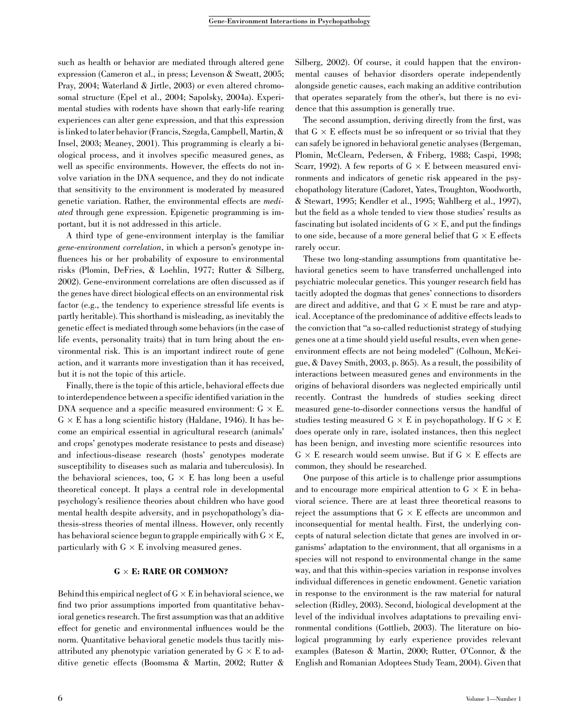such as health or behavior are mediated through altered gene expression (Cameron et al., in press; Levenson & Sweatt, 2005; Pray, 2004; Waterland & Jirtle, 2003) or even altered chromosomal structure (Epel et al., 2004; Sapolsky, 2004a). Experimental studies with rodents have shown that early-life rearing experiences can alter gene expression, and that this expression is linked to later behavior (Francis, Szegda, Campbell, Martin, & Insel, 2003; Meaney, 2001). This programming is clearly a biological process, and it involves specific measured genes, as well as specific environments. However, the effects do not involve variation in the DNA sequence, and they do not indicate that sensitivity to the environment is moderated by measured genetic variation. Rather, the environmental effects are mediated through gene expression. Epigenetic programming is important, but it is not addressed in this article.

A third type of gene-environment interplay is the familiar gene-environment correlation, in which a person's genotype influences his or her probability of exposure to environmental risks (Plomin, DeFries, & Loehlin, 1977; Rutter & Silberg, 2002). Gene-environment correlations are often discussed as if the genes have direct biological effects on an environmental risk factor (e.g., the tendency to experience stressful life events is partly heritable). This shorthand is misleading, as inevitably the genetic effect is mediated through some behaviors (in the case of life events, personality traits) that in turn bring about the environmental risk. This is an important indirect route of gene action, and it warrants more investigation than it has received, but it is not the topic of this article.

Finally, there is the topic of this article, behavioral effects due to interdependence between a specific identified variation in the DNA sequence and a specific measured environment:  $G \times E$ .  $G \times E$  has a long scientific history (Haldane, 1946). It has become an empirical essential in agricultural research (animals' and crops' genotypes moderate resistance to pests and disease) and infectious-disease research (hosts' genotypes moderate susceptibility to diseases such as malaria and tuberculosis). In the behavioral sciences, too,  $G \times E$  has long been a useful theoretical concept. It plays a central role in developmental psychology's resilience theories about children who have good mental health despite adversity, and in psychopathology's diathesis-stress theories of mental illness. However, only recently has behavioral science begun to grapple empirically with  $G \times E$ , particularly with  $G \times E$  involving measured genes.

## $G \times E$ : RARE OR COMMON?

Behind this empirical neglect of  $G \times E$  in behavioral science, we find two prior assumptions imported from quantitative behavioral genetics research. The first assumption was that an additive effect for genetic and environmental influences would be the norm. Quantitative behavioral genetic models thus tacitly misattributed any phenotypic variation generated by  $G \times E$  to additive genetic effects (Boomsma & Martin, 2002; Rutter & Silberg, 2002). Of course, it could happen that the environmental causes of behavior disorders operate independently alongside genetic causes, each making an additive contribution that operates separately from the other's, but there is no evidence that this assumption is generally true.

The second assumption, deriving directly from the first, was that  $G \times E$  effects must be so infrequent or so trivial that they can safely be ignored in behavioral genetic analyses (Bergeman, Plomin, McClearn, Pedersen, & Friberg, 1988; Caspi, 1998; Scarr, 1992). A few reports of  $G \times E$  between measured environments and indicators of genetic risk appeared in the psychopathology literature (Cadoret, Yates, Troughton, Woodworth, & Stewart, 1995; Kendler et al., 1995; Wahlberg et al., 1997), but the field as a whole tended to view those studies' results as fascinating but isolated incidents of  $G \times E$ , and put the findings to one side, because of a more general belief that  $G \times E$  effects rarely occur.

These two long-standing assumptions from quantitative behavioral genetics seem to have transferred unchallenged into psychiatric molecular genetics. This younger research field has tacitly adopted the dogmas that genes' connections to disorders are direct and additive, and that  $G \times E$  must be rare and atypical. Acceptance of the predominance of additive effects leads to the conviction that ''a so-called reductionist strategy of studying genes one at a time should yield useful results, even when geneenvironment effects are not being modeled'' (Colhoun, McKeigue, & Davey Smith, 2003, p. 865). As a result, the possibility of interactions between measured genes and environments in the origins of behavioral disorders was neglected empirically until recently. Contrast the hundreds of studies seeking direct measured gene-to-disorder connections versus the handful of studies testing measured  $G \times E$  in psychopathology. If  $G \times E$ does operate only in rare, isolated instances, then this neglect has been benign, and investing more scientific resources into  $G \times E$  research would seem unwise. But if  $G \times E$  effects are common, they should be researched.

One purpose of this article is to challenge prior assumptions and to encourage more empirical attention to  $G \times E$  in behavioral science. There are at least three theoretical reasons to reject the assumptions that  $G \times E$  effects are uncommon and inconsequential for mental health. First, the underlying concepts of natural selection dictate that genes are involved in organisms' adaptation to the environment, that all organisms in a species will not respond to environmental change in the same way, and that this within-species variation in response involves individual differences in genetic endowment. Genetic variation in response to the environment is the raw material for natural selection (Ridley, 2003). Second, biological development at the level of the individual involves adaptations to prevailing environmental conditions (Gottlieb, 2003). The literature on biological programming by early experience provides relevant examples (Bateson & Martin, 2000; Rutter, O'Connor, & the English and Romanian Adoptees Study Team, 2004). Given that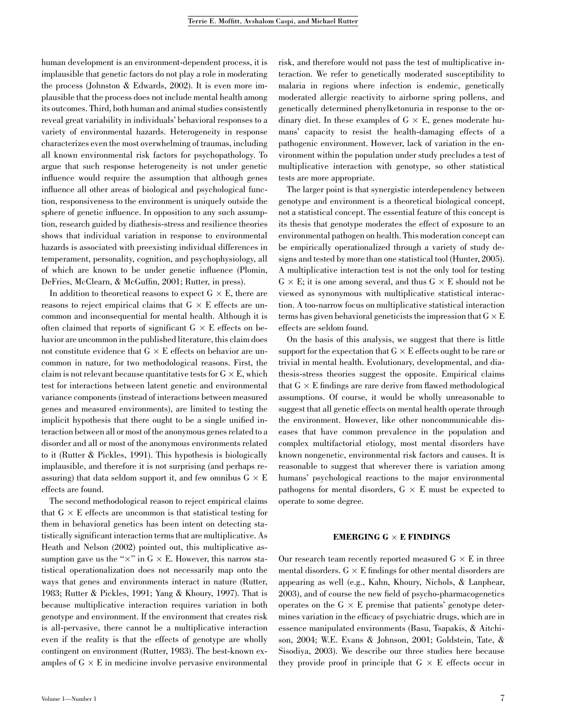human development is an environment-dependent process, it is implausible that genetic factors do not play a role in moderating the process (Johnston & Edwards, 2002). It is even more implausible that the process does not include mental health among its outcomes. Third, both human and animal studies consistently reveal great variability in individuals' behavioral responses to a variety of environmental hazards. Heterogeneity in response characterizes even the most overwhelming of traumas, including all known environmental risk factors for psychopathology. To argue that such response heterogeneity is not under genetic influence would require the assumption that although genes influence all other areas of biological and psychological function, responsiveness to the environment is uniquely outside the sphere of genetic influence. In opposition to any such assumption, research guided by diathesis-stress and resilience theories shows that individual variation in response to environmental hazards is associated with preexisting individual differences in temperament, personality, cognition, and psychophysiology, all of which are known to be under genetic influence (Plomin, DeFries, McClearn, & McGuffin, 2001; Rutter, in press).

In addition to theoretical reasons to expect  $G \times E$ , there are reasons to reject empirical claims that  $G \times E$  effects are uncommon and inconsequential for mental health. Although it is often claimed that reports of significant  $G \times E$  effects on behavior are uncommon in the published literature, this claim does not constitute evidence that  $G \times E$  effects on behavior are uncommon in nature, for two methodological reasons. First, the claim is not relevant because quantitative tests for  $G \times E$ , which test for interactions between latent genetic and environmental variance components (instead of interactions between measured genes and measured environments), are limited to testing the implicit hypothesis that there ought to be a single unified interaction between all or most of the anonymous genes related to a disorder and all or most of the anonymous environments related to it (Rutter & Pickles, 1991). This hypothesis is biologically implausible, and therefore it is not surprising (and perhaps reassuring) that data seldom support it, and few omnibus  $G \times E$ effects are found.

The second methodological reason to reject empirical claims that  $G \times E$  effects are uncommon is that statistical testing for them in behavioral genetics has been intent on detecting statistically significant interaction terms that are multiplicative. As Heath and Nelson (2002) pointed out, this multiplicative assumption gave us the " $\times$ " in G  $\times$  E. However, this narrow statistical operationalization does not necessarily map onto the ways that genes and environments interact in nature (Rutter, 1983; Rutter & Pickles, 1991; Yang & Khoury, 1997). That is because multiplicative interaction requires variation in both genotype and environment. If the environment that creates risk is all-pervasive, there cannot be a multiplicative interaction even if the reality is that the effects of genotype are wholly contingent on environment (Rutter, 1983). The best-known examples of  $G \times E$  in medicine involve pervasive environmental

risk, and therefore would not pass the test of multiplicative interaction. We refer to genetically moderated susceptibility to malaria in regions where infection is endemic, genetically moderated allergic reactivity to airborne spring pollens, and genetically determined phenylketonuria in response to the ordinary diet. In these examples of  $G \times E$ , genes moderate humans' capacity to resist the health-damaging effects of a pathogenic environment. However, lack of variation in the environment within the population under study precludes a test of multiplicative interaction with genotype, so other statistical tests are more appropriate.

The larger point is that synergistic interdependency between genotype and environment is a theoretical biological concept, not a statistical concept. The essential feature of this concept is its thesis that genotype moderates the effect of exposure to an environmental pathogen on health. This moderation concept can be empirically operationalized through a variety of study designs and tested by more than one statistical tool (Hunter, 2005). A multiplicative interaction test is not the only tool for testing  $G \times E$ ; it is one among several, and thus  $G \times E$  should not be viewed as synonymous with multiplicative statistical interaction. A too-narrow focus on multiplicative statistical interaction terms has given behavioral geneticists the impression that  $G \times E$ effects are seldom found.

On the basis of this analysis, we suggest that there is little support for the expectation that  $G \times E$  effects ought to be rare or trivial in mental health. Evolutionary, developmental, and diathesis-stress theories suggest the opposite. Empirical claims that  $G \times E$  findings are rare derive from flawed methodological assumptions. Of course, it would be wholly unreasonable to suggest that all genetic effects on mental health operate through the environment. However, like other noncommunicable diseases that have common prevalence in the population and complex multifactorial etiology, most mental disorders have known nongenetic, environmental risk factors and causes. It is reasonable to suggest that wherever there is variation among humans' psychological reactions to the major environmental pathogens for mental disorders,  $G \times E$  must be expected to operate to some degree.

## EMERGING  $G \times E$  FINDINGS

Our research team recently reported measured  $G \times E$  in three mental disorders.  $G \times E$  findings for other mental disorders are appearing as well (e.g., Kahn, Khoury, Nichols, & Lanphear, 2003), and of course the new field of psycho-pharmacogenetics operates on the  $G \times E$  premise that patients' genotype determines variation in the efficacy of psychiatric drugs, which are in essence manipulated environments (Basu, Tsapakis, & Aitchison, 2004; W.E. Evans & Johnson, 2001; Goldstein, Tate, & Sisodiya, 2003). We describe our three studies here because they provide proof in principle that  $G \times E$  effects occur in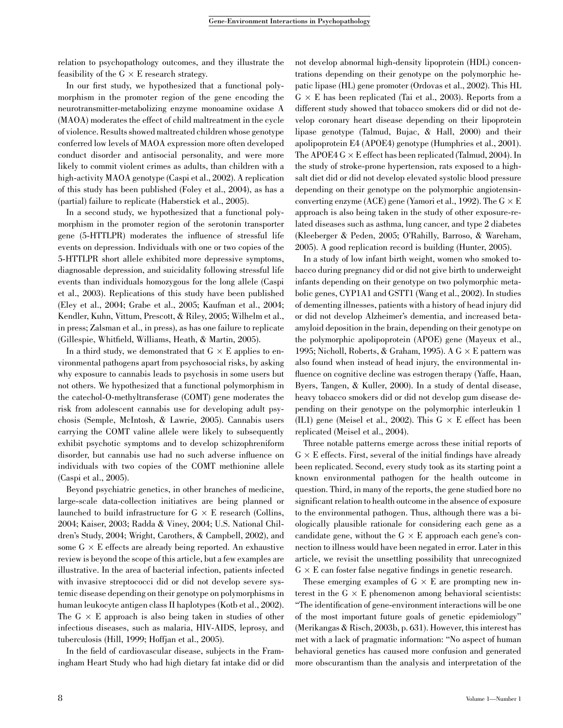relation to psychopathology outcomes, and they illustrate the feasibility of the  $G \times E$  research strategy.

In our first study, we hypothesized that a functional polymorphism in the promoter region of the gene encoding the neurotransmitter-metabolizing enzyme monoamine oxidase A (MAOA) moderates the effect of child maltreatment in the cycle of violence. Results showed maltreated children whose genotype conferred low levels of MAOA expression more often developed conduct disorder and antisocial personality, and were more likely to commit violent crimes as adults, than children with a high-activity MAOA genotype (Caspi et al., 2002). A replication of this study has been published (Foley et al., 2004), as has a (partial) failure to replicate (Haberstick et al., 2005).

In a second study, we hypothesized that a functional polymorphism in the promoter region of the serotonin transporter gene (5-HTTLPR) moderates the influence of stressful life events on depression. Individuals with one or two copies of the 5-HTTLPR short allele exhibited more depressive symptoms, diagnosable depression, and suicidality following stressful life events than individuals homozygous for the long allele (Caspi et al., 2003). Replications of this study have been published (Eley et al., 2004; Grabe et al., 2005; Kaufman et al., 2004; Kendler, Kuhn, Vittum, Prescott, & Riley, 2005; Wilhelm et al., in press; Zalsman et al., in press), as has one failure to replicate (Gillespie, Whitfield, Williams, Heath, & Martin, 2005).

In a third study, we demonstrated that  $G \times E$  applies to environmental pathogens apart from psychosocial risks, by asking why exposure to cannabis leads to psychosis in some users but not others. We hypothesized that a functional polymorphism in the catechol-O-methyltransferase (COMT) gene moderates the risk from adolescent cannabis use for developing adult psychosis (Semple, McIntosh, & Lawrie, 2005). Cannabis users carrying the COMT valine allele were likely to subsequently exhibit psychotic symptoms and to develop schizophreniform disorder, but cannabis use had no such adverse influence on individuals with two copies of the COMT methionine allele (Caspi et al., 2005).

Beyond psychiatric genetics, in other branches of medicine, large-scale data-collection initiatives are being planned or launched to build infrastructure for  $G \times E$  research (Collins, 2004; Kaiser, 2003; Radda & Viney, 2004; U.S. National Children's Study, 2004; Wright, Carothers, & Campbell, 2002), and some  $G \times E$  effects are already being reported. An exhaustive review is beyond the scope of this article, but a few examples are illustrative. In the area of bacterial infection, patients infected with invasive streptococci did or did not develop severe systemic disease depending on their genotype on polymorphisms in human leukocyte antigen class II haplotypes (Kotb et al., 2002). The  $G \times E$  approach is also being taken in studies of other infectious diseases, such as malaria, HIV-AIDS, leprosy, and tuberculosis (Hill, 1999; Hoffjan et al., 2005).

In the field of cardiovascular disease, subjects in the Framingham Heart Study who had high dietary fat intake did or did

not develop abnormal high-density lipoprotein (HDL) concentrations depending on their genotype on the polymorphic hepatic lipase (HL) gene promoter (Ordovas et al., 2002). This HL  $G \times E$  has been replicated (Tai et al., 2003). Reports from a different study showed that tobacco smokers did or did not develop coronary heart disease depending on their lipoprotein lipase genotype (Talmud, Bujac, & Hall, 2000) and their apolipoprotein E4 (APOE4) genotype (Humphries et al., 2001). The APOE4  $G \times E$  effect has been replicated (Talmud, 2004). In the study of stroke-prone hypertension, rats exposed to a highsalt diet did or did not develop elevated systolic blood pressure depending on their genotype on the polymorphic angiotensinconverting enzyme (ACE) gene (Yamori et al., 1992). The  $G \times E$ approach is also being taken in the study of other exposure-related diseases such as asthma, lung cancer, and type 2 diabetes (Kleeberger & Peden, 2005; O'Rahilly, Barroso, & Wareham, 2005). A good replication record is building (Hunter, 2005).

In a study of low infant birth weight, women who smoked tobacco during pregnancy did or did not give birth to underweight infants depending on their genotype on two polymorphic metabolic genes, CYP1A1 and GSTT1 (Wang et al., 2002). In studies of dementing illnesses, patients with a history of head injury did or did not develop Alzheimer's dementia, and increased betaamyloid deposition in the brain, depending on their genotype on the polymorphic apolipoprotein (APOE) gene (Mayeux et al., 1995; Nicholl, Roberts, & Graham, 1995). A  $G \times E$  pattern was also found when instead of head injury, the environmental influence on cognitive decline was estrogen therapy (Yaffe, Haan, Byers, Tangen, & Kuller, 2000). In a study of dental disease, heavy tobacco smokers did or did not develop gum disease depending on their genotype on the polymorphic interleukin 1 (IL1) gene (Meisel et al., 2002). This  $G \times E$  effect has been replicated (Meisel et al., 2004).

Three notable patterns emerge across these initial reports of  $G \times E$  effects. First, several of the initial findings have already been replicated. Second, every study took as its starting point a known environmental pathogen for the health outcome in question. Third, in many of the reports, the gene studied bore no significant relation to health outcome in the absence of exposure to the environmental pathogen. Thus, although there was a biologically plausible rationale for considering each gene as a candidate gene, without the  $G \times E$  approach each gene's connection to illness would have been negated in error. Later in this article, we revisit the unsettling possibility that unrecognized  $G \times E$  can foster false negative findings in genetic research.

These emerging examples of  $G \times E$  are prompting new interest in the  $G \times E$  phenomenon among behavioral scientists: ''The identification of gene-environment interactions will be one of the most important future goals of genetic epidemiology'' (Merikangas & Risch, 2003b, p. 631). However, this interest has met with a lack of pragmatic information: ''No aspect of human behavioral genetics has caused more confusion and generated more obscurantism than the analysis and interpretation of the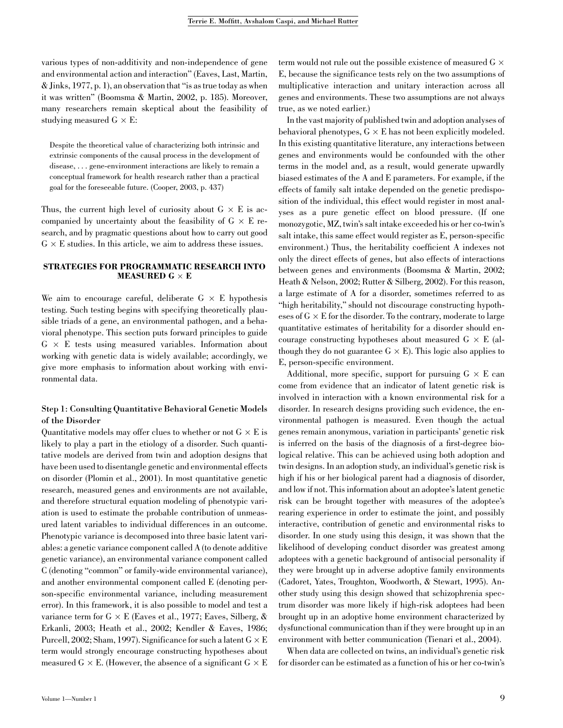various types of non-additivity and non-independence of gene and environmental action and interaction'' (Eaves, Last, Martin, & Jinks, 1977, p. 1), an observation that ''is as true today as when it was written'' (Boomsma & Martin, 2002, p. 185). Moreover, many researchers remain skeptical about the feasibility of studying measured  $G \times E$ :

Despite the theoretical value of characterizing both intrinsic and extrinsic components of the causal process in the development of disease, . . . gene-environment interactions are likely to remain a conceptual framework for health research rather than a practical goal for the foreseeable future. (Cooper, 2003, p. 437)

Thus, the current high level of curiosity about  $G \times E$  is accompanied by uncertainty about the feasibility of  $G \times E$  research, and by pragmatic questions about how to carry out good  $G \times E$  studies. In this article, we aim to address these issues.

## STRATEGIES FOR PROGRAMMATIC RESEARCH INTO MEASURED  $G \times E$

We aim to encourage careful, deliberate  $G \times E$  hypothesis testing. Such testing begins with specifying theoretically plausible triads of a gene, an environmental pathogen, and a behavioral phenotype. This section puts forward principles to guide  $G \times E$  tests using measured variables. Information about working with genetic data is widely available; accordingly, we give more emphasis to information about working with environmental data.

# Step 1: Consulting Quantitative Behavioral Genetic Models of the Disorder

Quantitative models may offer clues to whether or not  $G \times E$  is likely to play a part in the etiology of a disorder. Such quantitative models are derived from twin and adoption designs that have been used to disentangle genetic and environmental effects on disorder (Plomin et al., 2001). In most quantitative genetic research, measured genes and environments are not available, and therefore structural equation modeling of phenotypic variation is used to estimate the probable contribution of unmeasured latent variables to individual differences in an outcome. Phenotypic variance is decomposed into three basic latent variables: a genetic variance component called A (to denote additive genetic variance), an environmental variance component called C (denoting ''common'' or family-wide environmental variance), and another environmental component called E (denoting person-specific environmental variance, including measurement error). In this framework, it is also possible to model and test a variance term for  $G \times E$  (Eaves et al., 1977; Eaves, Silberg, & Erkanli, 2003; Heath et al., 2002; Kendler & Eaves, 1986; Purcell, 2002; Sham, 1997). Significance for such a latent  $G \times E$ term would strongly encourage constructing hypotheses about measured  $G \times E$ . (However, the absence of a significant  $G \times E$  term would not rule out the possible existence of measured G E, because the significance tests rely on the two assumptions of multiplicative interaction and unitary interaction across all genes and environments. These two assumptions are not always true, as we noted earlier.)

In the vast majority of published twin and adoption analyses of behavioral phenotypes,  $G \times E$  has not been explicitly modeled. In this existing quantitative literature, any interactions between genes and environments would be confounded with the other terms in the model and, as a result, would generate upwardly biased estimates of the A and E parameters. For example, if the effects of family salt intake depended on the genetic predisposition of the individual, this effect would register in most analyses as a pure genetic effect on blood pressure. (If one monozygotic, MZ, twin's salt intake exceeded his or her co-twin's salt intake, this same effect would register as E, person-specific environment.) Thus, the heritability coefficient A indexes not only the direct effects of genes, but also effects of interactions between genes and environments (Boomsma & Martin, 2002; Heath & Nelson, 2002; Rutter & Silberg, 2002). For this reason, a large estimate of A for a disorder, sometimes referred to as "high heritability," should not discourage constructing hypotheses of  $G \times E$  for the disorder. To the contrary, moderate to large quantitative estimates of heritability for a disorder should encourage constructing hypotheses about measured  $G \times E$  (although they do not guarantee  $G \times E$ ). This logic also applies to E, person-specific environment.

Additional, more specific, support for pursuing  $G \times E$  can come from evidence that an indicator of latent genetic risk is involved in interaction with a known environmental risk for a disorder. In research designs providing such evidence, the environmental pathogen is measured. Even though the actual genes remain anonymous, variation in participants' genetic risk is inferred on the basis of the diagnosis of a first-degree biological relative. This can be achieved using both adoption and twin designs. In an adoption study, an individual's genetic risk is high if his or her biological parent had a diagnosis of disorder, and low if not. This information about an adoptee's latent genetic risk can be brought together with measures of the adoptee's rearing experience in order to estimate the joint, and possibly interactive, contribution of genetic and environmental risks to disorder. In one study using this design, it was shown that the likelihood of developing conduct disorder was greatest among adoptees with a genetic background of antisocial personality if they were brought up in adverse adoptive family environments (Cadoret, Yates, Troughton, Woodworth, & Stewart, 1995). Another study using this design showed that schizophrenia spectrum disorder was more likely if high-risk adoptees had been brought up in an adoptive home environment characterized by dysfunctional communication than if they were brought up in an environment with better communication (Tienari et al., 2004).

When data are collected on twins, an individual's genetic risk for disorder can be estimated as a function of his or her co-twin's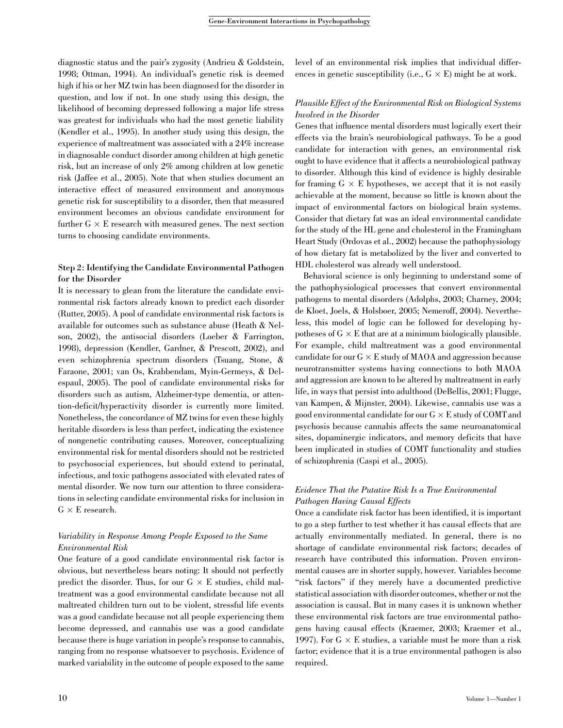diagnostic status and the pair's zygosity (Andrieu & Goldstein, 1998; Ottman, 1994). An individual's genetic risk is deemed high if his or her MZ twin has been diagnosed for the disorder in question, and low if not. In one study using this design, the likelihood of becoming depressed following a major life stress was greatest for individuals who had the most genetic liability (Kendler et al., 1995). In another study using this design, the experience of maltreatment was associated with a 24% increase in diagnosable conduct disorder among children at high genetic risk, but an increase of only 2% among children at low genetic risk (Jaffee et al., 2005). Note that when studies document an interactive effect of measured environment and anonymous genetic risk for susceptibility to a disorder, then that measured environment becomes an obvious candidate environment for further  $G \times E$  research with measured genes. The next section turns to choosing candidate environments.

# Step 2: Identifying the Candidate Environmental Pathogen for the Disorder

It is necessary to glean from the literature the candidate environmental risk factors already known to predict each disorder (Rutter, 2005). A pool of candidate environmental risk factors is available for outcomes such as substance abuse (Heath & Nelson, 2002), the antisocial disorders (Loeber & Farrington, 1998), depression (Kendler, Gardner, & Prescott, 2002), and even schizophrenia spectrum disorders (Tsuang, Stone, & Faraone, 2001; van Os, Krabbendam, Myin-Germeys, & Delespaul, 2005). The pool of candidate environmental risks for disorders such as autism, Alzheimer-type dementia, or attention-deficit/hyperactivity disorder is currently more limited. Nonetheless, the concordance of MZ twins for even these highly heritable disorders is less than perfect, indicating the existence of nongenetic contributing causes. Moreover, conceptualizing environmental risk for mental disorders should not be restricted to psychosocial experiences, but should extend to perinatal, infectious, and toxic pathogens associated with elevated rates of mental disorder. We now turn our attention to three considerations in selecting candidate environmental risks for inclusion in  $G \times E$  research.

## Variability in Response Among People Exposed to the Same Environmental Risk

One feature of a good candidate environmental risk factor is obvious, but nevertheless bears noting: It should not perfectly predict the disorder. Thus, for our  $G \times E$  studies, child maltreatment was a good environmental candidate because not all maltreated children turn out to be violent, stressful life events was a good candidate because not all people experiencing them become depressed, and cannabis use was a good candidate because there is huge variation in people's response to cannabis, ranging from no response whatsoever to psychosis. Evidence of marked variability in the outcome of people exposed to the same level of an environmental risk implies that individual differences in genetic susceptibility (i.e.,  $G \times E$ ) might be at work.

# Plausible Effect of the Environmental Risk on Biological Systems Involved in the Disorder

Genes that influence mental disorders must logically exert their effects via the brain's neurobiological pathways. To be a good candidate for interaction with genes, an environmental risk ought to have evidence that it affects a neurobiological pathway to disorder. Although this kind of evidence is highly desirable for framing  $G \times E$  hypotheses, we accept that it is not easily achievable at the moment, because so little is known about the impact of environmental factors on biological brain systems. Consider that dietary fat was an ideal environmental candidate for the study of the HL gene and cholesterol in the Framingham Heart Study (Ordovas et al., 2002) because the pathophysiology of how dietary fat is metabolized by the liver and converted to HDL cholesterol was already well understood.

Behavioral science is only beginning to understand some of the pathophysiological processes that convert environmental pathogens to mental disorders (Adolphs, 2003; Charney, 2004; de Kloet, Joels, & Holsboer, 2005; Nemeroff, 2004). Nevertheless, this model of logic can be followed for developing hypotheses of  $G \times E$  that are at a minimum biologically plausible. For example, child maltreatment was a good environmental candidate for our  $G \times E$  study of MAOA and aggression because neurotransmitter systems having connections to both MAOA and aggression are known to be altered by maltreatment in early life, in ways that persist into adulthood (DeBellis, 2001; Flugge, van Kampen, & Mijnster, 2004). Likewise, cannabis use was a good environmental candidate for our  $G \times E$  study of COMT and psychosis because cannabis affects the same neuroanatomical sites, dopaminergic indicators, and memory deficits that have been implicated in studies of COMT functionality and studies of schizophrenia (Caspi et al., 2005).

# Evidence That the Putative Risk Is a True Environmental Pathogen Having Causal Effects

Once a candidate risk factor has been identified, it is important to go a step further to test whether it has causal effects that are actually environmentally mediated. In general, there is no shortage of candidate environmental risk factors; decades of research have contributed this information. Proven environmental causes are in shorter supply, however. Variables become "risk factors" if they merely have a documented predictive statistical association with disorder outcomes, whether or not the association is causal. But in many cases it is unknown whether these environmental risk factors are true environmental pathogens having causal effects (Kraemer, 2003; Kraemer et al., 1997). For  $G \times E$  studies, a variable must be more than a risk factor; evidence that it is a true environmental pathogen is also required.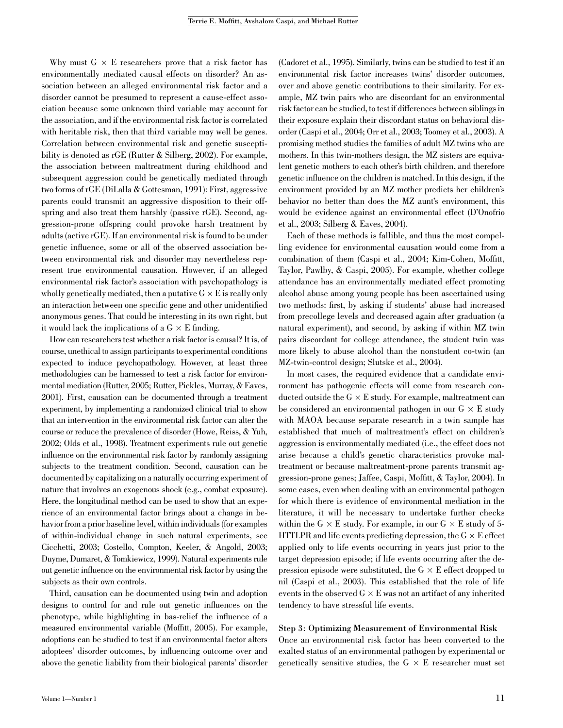Why must  $G \times E$  researchers prove that a risk factor has environmentally mediated causal effects on disorder? An association between an alleged environmental risk factor and a disorder cannot be presumed to represent a cause-effect association because some unknown third variable may account for the association, and if the environmental risk factor is correlated with heritable risk, then that third variable may well be genes. Correlation between environmental risk and genetic susceptibility is denoted as rGE (Rutter & Silberg, 2002). For example, the association between maltreatment during childhood and subsequent aggression could be genetically mediated through two forms of rGE (DiLalla & Gottesman, 1991): First, aggressive parents could transmit an aggressive disposition to their offspring and also treat them harshly (passive rGE). Second, aggression-prone offspring could provoke harsh treatment by adults (active rGE). If an environmental risk is found to be under genetic influence, some or all of the observed association between environmental risk and disorder may nevertheless represent true environmental causation. However, if an alleged environmental risk factor's association with psychopathology is wholly genetically mediated, then a putative  $G \times E$  is really only an interaction between one specific gene and other unidentified anonymous genes. That could be interesting in its own right, but it would lack the implications of a  $G \times E$  finding.

How can researchers test whether a risk factor is causal? It is, of course, unethical to assign participants to experimental conditions expected to induce psychopathology. However, at least three methodologies can be harnessed to test a risk factor for environmental mediation (Rutter, 2005; Rutter, Pickles, Murray, & Eaves, 2001). First, causation can be documented through a treatment experiment, by implementing a randomized clinical trial to show that an intervention in the environmental risk factor can alter the course or reduce the prevalence of disorder (Howe, Reiss, & Yuh, 2002; Olds et al., 1998). Treatment experiments rule out genetic influence on the environmental risk factor by randomly assigning subjects to the treatment condition. Second, causation can be documented by capitalizing on a naturally occurring experiment of nature that involves an exogenous shock (e.g., combat exposure). Here, the longitudinal method can be used to show that an experience of an environmental factor brings about a change in behavior from a prior baseline level, within individuals (for examples of within-individual change in such natural experiments, see Cicchetti, 2003; Costello, Compton, Keeler, & Angold, 2003; Duyme, Dumaret, & Tomkiewicz, 1999). Natural experiments rule out genetic influence on the environmental risk factor by using the subjects as their own controls.

Third, causation can be documented using twin and adoption designs to control for and rule out genetic influences on the phenotype, while highlighting in bas-relief the influence of a measured environmental variable (Moffitt, 2005). For example, adoptions can be studied to test if an environmental factor alters adoptees' disorder outcomes, by influencing outcome over and above the genetic liability from their biological parents' disorder

(Cadoret et al., 1995). Similarly, twins can be studied to test if an environmental risk factor increases twins' disorder outcomes, over and above genetic contributions to their similarity. For example, MZ twin pairs who are discordant for an environmental risk factor can be studied, to test if differences between siblings in their exposure explain their discordant status on behavioral disorder (Caspi et al., 2004; Orr et al., 2003; Toomey et al., 2003). A promising method studies the families of adult MZ twins who are mothers. In this twin-mothers design, the MZ sisters are equivalent genetic mothers to each other's birth children, and therefore genetic influence on the children is matched. In this design, if the environment provided by an MZ mother predicts her children's behavior no better than does the MZ aunt's environment, this would be evidence against an environmental effect (D'Onofrio et al., 2003; Silberg & Eaves, 2004).

Each of these methods is fallible, and thus the most compelling evidence for environmental causation would come from a combination of them (Caspi et al., 2004; Kim-Cohen, Moffitt, Taylor, Pawlby, & Caspi, 2005). For example, whether college attendance has an environmentally mediated effect promoting alcohol abuse among young people has been ascertained using two methods: first, by asking if students' abuse had increased from precollege levels and decreased again after graduation (a natural experiment), and second, by asking if within MZ twin pairs discordant for college attendance, the student twin was more likely to abuse alcohol than the nonstudent co-twin (an MZ-twin-control design; Slutske et al., 2004).

In most cases, the required evidence that a candidate environment has pathogenic effects will come from research conducted outside the  $G \times E$  study. For example, maltreatment can be considered an environmental pathogen in our  $G \times E$  study with MAOA because separate research in a twin sample has established that much of maltreatment's effect on children's aggression is environmentally mediated (i.e., the effect does not arise because a child's genetic characteristics provoke maltreatment or because maltreatment-prone parents transmit aggression-prone genes; Jaffee, Caspi, Moffitt, & Taylor, 2004). In some cases, even when dealing with an environmental pathogen for which there is evidence of environmental mediation in the literature, it will be necessary to undertake further checks within the  $G \times E$  study. For example, in our  $G \times E$  study of 5-HTTLPR and life events predicting depression, the  $G \times E$  effect applied only to life events occurring in years just prior to the target depression episode; if life events occurring after the depression episode were substituted, the  $G \times E$  effect dropped to nil (Caspi et al., 2003). This established that the role of life events in the observed  $G \times E$  was not an artifact of any inherited tendency to have stressful life events.

#### Step 3: Optimizing Measurement of Environmental Risk

Once an environmental risk factor has been converted to the exalted status of an environmental pathogen by experimental or genetically sensitive studies, the  $G \times E$  researcher must set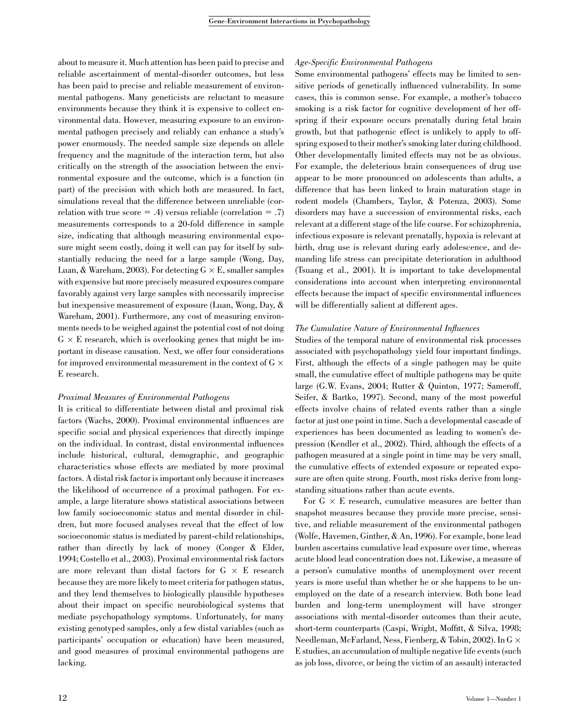about to measure it. Much attention has been paid to precise and reliable ascertainment of mental-disorder outcomes, but less has been paid to precise and reliable measurement of environmental pathogens. Many geneticists are reluctant to measure environments because they think it is expensive to collect environmental data. However, measuring exposure to an environmental pathogen precisely and reliably can enhance a study's power enormously. The needed sample size depends on allele frequency and the magnitude of the interaction term, but also critically on the strength of the association between the environmental exposure and the outcome, which is a function (in part) of the precision with which both are measured. In fact, simulations reveal that the difference between unreliable (correlation with true score  $= .4$ ) versus reliable (correlation  $= .7$ ) measurements corresponds to a 20-fold difference in sample size, indicating that although measuring environmental exposure might seem costly, doing it well can pay for itself by substantially reducing the need for a large sample (Wong, Day, Luan, & Wareham, 2003). For detecting  $G \times E$ , smaller samples with expensive but more precisely measured exposures compare favorably against very large samples with necessarily imprecise but inexpensive measurement of exposure (Luan, Wong, Day, & Wareham, 2001). Furthermore, any cost of measuring environments needs to be weighed against the potential cost of not doing  $G \times E$  research, which is overlooking genes that might be important in disease causation. Next, we offer four considerations for improved environmental measurement in the context of G  $\times$ E research.

#### Proximal Measures of Environmental Pathogens

It is critical to differentiate between distal and proximal risk factors (Wachs, 2000). Proximal environmental influences are specific social and physical experiences that directly impinge on the individual. In contrast, distal environmental influences include historical, cultural, demographic, and geographic characteristics whose effects are mediated by more proximal factors. A distal risk factor is important only because it increases the likelihood of occurrence of a proximal pathogen. For example, a large literature shows statistical associations between low family socioeconomic status and mental disorder in children, but more focused analyses reveal that the effect of low socioeconomic status is mediated by parent-child relationships, rather than directly by lack of money (Conger & Elder, 1994; Costello et al., 2003). Proximal environmental risk factors are more relevant than distal factors for  $G \times E$  research because they are more likely to meet criteria for pathogen status, and they lend themselves to biologically plausible hypotheses about their impact on specific neurobiological systems that mediate psychopathology symptoms. Unfortunately, for many existing genotyped samples, only a few distal variables (such as participants' occupation or education) have been measured, and good measures of proximal environmental pathogens are lacking.

## Age-Specific Environmental Pathogens

Some environmental pathogens' effects may be limited to sensitive periods of genetically influenced vulnerability. In some cases, this is common sense. For example, a mother's tobacco smoking is a risk factor for cognitive development of her offspring if their exposure occurs prenatally during fetal brain growth, but that pathogenic effect is unlikely to apply to offspring exposed to their mother's smoking later during childhood. Other developmentally limited effects may not be as obvious. For example, the deleterious brain consequences of drug use appear to be more pronounced on adolescents than adults, a difference that has been linked to brain maturation stage in rodent models (Chambers, Taylor, & Potenza, 2003). Some disorders may have a succession of environmental risks, each relevant at a different stage of the life course. For schizophrenia, infectious exposure is relevant prenatally, hypoxia is relevant at birth, drug use is relevant during early adolescence, and demanding life stress can precipitate deterioration in adulthood (Tsuang et al., 2001). It is important to take developmental considerations into account when interpreting environmental effects because the impact of specific environmental influences will be differentially salient at different ages.

## The Cumulative Nature of Environmental Influences

Studies of the temporal nature of environmental risk processes associated with psychopathology yield four important findings. First, although the effects of a single pathogen may be quite small, the cumulative effect of multiple pathogens may be quite large (G.W. Evans, 2004; Rutter & Quinton, 1977; Sameroff, Seifer, & Bartko, 1997). Second, many of the most powerful effects involve chains of related events rather than a single factor at just one point in time. Such a developmental cascade of experiences has been documented as leading to women's depression (Kendler et al., 2002). Third, although the effects of a pathogen measured at a single point in time may be very small, the cumulative effects of extended exposure or repeated exposure are often quite strong. Fourth, most risks derive from longstanding situations rather than acute events.

For  $G \times E$  research, cumulative measures are better than snapshot measures because they provide more precise, sensitive, and reliable measurement of the environmental pathogen (Wolfe, Havemen, Ginther, & An, 1996). For example, bone lead burden ascertains cumulative lead exposure over time, whereas acute blood lead concentration does not. Likewise, a measure of a person's cumulative months of unemployment over recent years is more useful than whether he or she happens to be unemployed on the date of a research interview. Both bone lead burden and long-term unemployment will have stronger associations with mental-disorder outcomes than their acute, short-term counterparts (Caspi, Wright, Moffitt, & Silva, 1998; Needleman, McFarland, Ness, Fienberg, & Tobin, 2002). In G  $\times$ E studies, an accumulation of multiple negative life events (such as job loss, divorce, or being the victim of an assault) interacted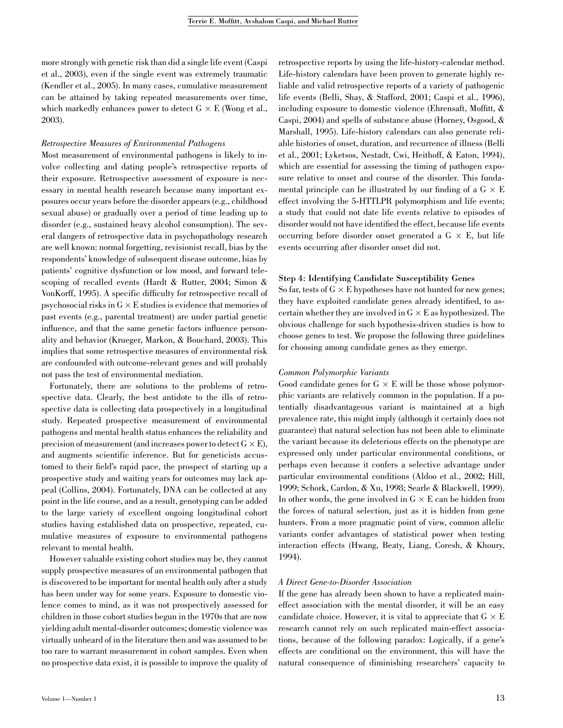more strongly with genetic risk than did a single life event (Caspi et al., 2003), even if the single event was extremely traumatic (Kendler et al., 2005). In many cases, cumulative measurement can be attained by taking repeated measurements over time, which markedly enhances power to detect  $G \times E$  (Wong et al., 2003).

#### Retrospective Measures of Environmental Pathogens

Most measurement of environmental pathogens is likely to involve collecting and dating people's retrospective reports of their exposure. Retrospective assessment of exposure is necessary in mental health research because many important exposures occur years before the disorder appears (e.g., childhood sexual abuse) or gradually over a period of time leading up to disorder (e.g., sustained heavy alcohol consumption). The several dangers of retrospective data in psychopathology research are well known: normal forgetting, revisionist recall, bias by the respondents' knowledge of subsequent disease outcome, bias by patients' cognitive dysfunction or low mood, and forward telescoping of recalled events (Hardt & Rutter, 2004; Simon & VonKorff, 1995). A specific difficulty for retrospective recall of psychosocial risks in  $G \times E$  studies is evidence that memories of past events (e.g., parental treatment) are under partial genetic influence, and that the same genetic factors influence personality and behavior (Krueger, Markon, & Bouchard, 2003). This implies that some retrospective measures of environmental risk are confounded with outcome-relevant genes and will probably not pass the test of environmental mediation.

Fortunately, there are solutions to the problems of retrospective data. Clearly, the best antidote to the ills of retrospective data is collecting data prospectively in a longitudinal study. Repeated prospective measurement of environmental pathogens and mental health status enhances the reliability and precision of measurement (and increases power to detect  $G \times E$ ), and augments scientific inference. But for geneticists accustomed to their field's rapid pace, the prospect of starting up a prospective study and waiting years for outcomes may lack appeal (Collins, 2004). Fortunately, DNA can be collected at any point in the life course, and as a result, genotyping can be added to the large variety of excellent ongoing longitudinal cohort studies having established data on prospective, repeated, cumulative measures of exposure to environmental pathogens relevant to mental health.

However valuable existing cohort studies may be, they cannot supply prospective measures of an environmental pathogen that is discovered to be important for mental health only after a study has been under way for some years. Exposure to domestic violence comes to mind, as it was not prospectively assessed for children in those cohort studies begun in the 1970s that are now yielding adult mental-disorder outcomes; domestic violence was virtually unheard of in the literature then and was assumed to be too rare to warrant measurement in cohort samples. Even when no prospective data exist, it is possible to improve the quality of retrospective reports by using the life-history-calendar method. Life-history calendars have been proven to generate highly reliable and valid retrospective reports of a variety of pathogenic life events (Belli, Shay, & Stafford, 2001; Caspi et al., 1996), including exposure to domestic violence (Ehrensaft, Moffitt, & Caspi, 2004) and spells of substance abuse (Horney, Osgood, & Marshall, 1995). Life-history calendars can also generate reliable histories of onset, duration, and recurrence of illness (Belli et al., 2001; Lyketsos, Nestadt, Cwi, Heithoff, & Eaton, 1994), which are essential for assessing the timing of pathogen exposure relative to onset and course of the disorder. This fundamental principle can be illustrated by our finding of a  $G \times E$ effect involving the 5-HTTLPR polymorphism and life events; a study that could not date life events relative to episodes of disorder would not have identified the effect, because life events occurring before disorder onset generated a  $G \times E$ , but life events occurring after disorder onset did not.

#### Step 4: Identifying Candidate Susceptibility Genes

So far, tests of  $G \times E$  hypotheses have not hunted for new genes; they have exploited candidate genes already identified, to ascertain whether they are involved in  $G \times E$  as hypothesized. The obvious challenge for such hypothesis-driven studies is how to choose genes to test. We propose the following three guidelines for choosing among candidate genes as they emerge.

#### Common Polymorphic Variants

Good candidate genes for  $G \times E$  will be those whose polymorphic variants are relatively common in the population. If a potentially disadvantageous variant is maintained at a high prevalence rate, this might imply (although it certainly does not guarantee) that natural selection has not been able to eliminate the variant because its deleterious effects on the phenotype are expressed only under particular environmental conditions, or perhaps even because it confers a selective advantage under particular environmental conditions (Aldoo et al., 2002; Hill, 1999; Schork, Cardon, & Xu, 1998; Searle & Blackwell, 1999). In other words, the gene involved in  $G \times E$  can be hidden from the forces of natural selection, just as it is hidden from gene hunters. From a more pragmatic point of view, common allelic variants confer advantages of statistical power when testing interaction effects (Hwang, Beaty, Liang, Coresh, & Khoury, 1994).

#### A Direct Gene-to-Disorder Association

If the gene has already been shown to have a replicated maineffect association with the mental disorder, it will be an easy candidate choice. However, it is vital to appreciate that  $G \times E$ research cannot rely on such replicated main-effect associations, because of the following paradox: Logically, if a gene's effects are conditional on the environment, this will have the natural consequence of diminishing researchers' capacity to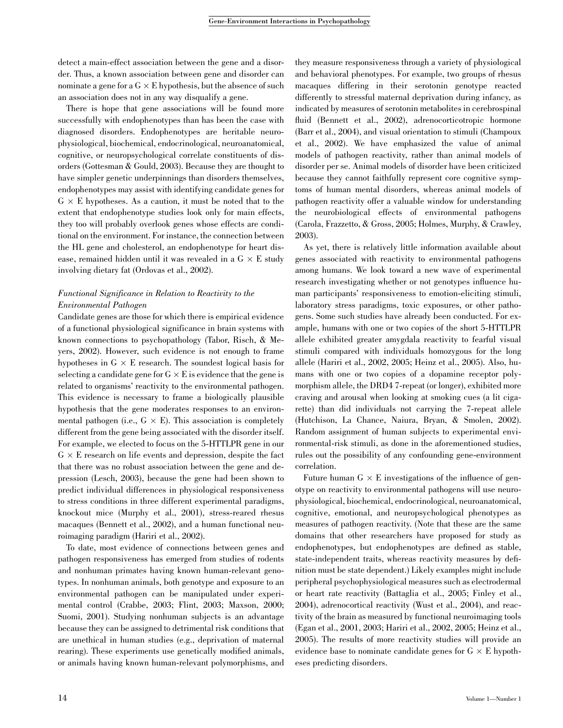detect a main-effect association between the gene and a disorder. Thus, a known association between gene and disorder can nominate a gene for a  $G \times E$  hypothesis, but the absence of such an association does not in any way disqualify a gene.

There is hope that gene associations will be found more successfully with endophenotypes than has been the case with diagnosed disorders. Endophenotypes are heritable neurophysiological, biochemical, endocrinological, neuroanatomical, cognitive, or neuropsychological correlate constituents of disorders (Gottesman & Gould, 2003). Because they are thought to have simpler genetic underpinnings than disorders themselves, endophenotypes may assist with identifying candidate genes for  $G \times E$  hypotheses. As a caution, it must be noted that to the extent that endophenotype studies look only for main effects, they too will probably overlook genes whose effects are conditional on the environment. For instance, the connection between the HL gene and cholesterol, an endophenotype for heart disease, remained hidden until it was revealed in a  $G \times E$  study involving dietary fat (Ordovas et al., 2002).

# Functional Significance in Relation to Reactivity to the Environmental Pathogen

Candidate genes are those for which there is empirical evidence of a functional physiological significance in brain systems with known connections to psychopathology (Tabor, Risch, & Meyers, 2002). However, such evidence is not enough to frame hypotheses in  $G \times E$  research. The soundest logical basis for selecting a candidate gene for  $G \times E$  is evidence that the gene is related to organisms' reactivity to the environmental pathogen. This evidence is necessary to frame a biologically plausible hypothesis that the gene moderates responses to an environmental pathogen (i.e.,  $G \times E$ ). This association is completely different from the gene being associated with the disorder itself. For example, we elected to focus on the 5-HTTLPR gene in our  $G \times E$  research on life events and depression, despite the fact that there was no robust association between the gene and depression (Lesch, 2003), because the gene had been shown to predict individual differences in physiological responsiveness to stress conditions in three different experimental paradigms, knockout mice (Murphy et al., 2001), stress-reared rhesus macaques (Bennett et al., 2002), and a human functional neuroimaging paradigm (Hariri et al., 2002).

To date, most evidence of connections between genes and pathogen responsiveness has emerged from studies of rodents and nonhuman primates having known human-relevant genotypes. In nonhuman animals, both genotype and exposure to an environmental pathogen can be manipulated under experimental control (Crabbe, 2003; Flint, 2003; Maxson, 2000; Suomi, 2001). Studying nonhuman subjects is an advantage because they can be assigned to detrimental risk conditions that are unethical in human studies (e.g., deprivation of maternal rearing). These experiments use genetically modified animals, or animals having known human-relevant polymorphisms, and

they measure responsiveness through a variety of physiological and behavioral phenotypes. For example, two groups of rhesus macaques differing in their serotonin genotype reacted differently to stressful maternal deprivation during infancy, as indicated by measures of serotonin metabolites in cerebrospinal fluid (Bennett et al., 2002), adrenocorticotropic hormone (Barr et al., 2004), and visual orientation to stimuli (Champoux et al., 2002). We have emphasized the value of animal models of pathogen reactivity, rather than animal models of disorder per se. Animal models of disorder have been criticized because they cannot faithfully represent core cognitive symptoms of human mental disorders, whereas animal models of pathogen reactivity offer a valuable window for understanding the neurobiological effects of environmental pathogens (Carola, Frazzetto, & Gross, 2005; Holmes, Murphy, & Crawley, 2003).

As yet, there is relatively little information available about genes associated with reactivity to environmental pathogens among humans. We look toward a new wave of experimental research investigating whether or not genotypes influence human participants' responsiveness to emotion-eliciting stimuli, laboratory stress paradigms, toxic exposures, or other pathogens. Some such studies have already been conducted. For example, humans with one or two copies of the short 5-HTTLPR allele exhibited greater amygdala reactivity to fearful visual stimuli compared with individuals homozygous for the long allele (Hariri et al., 2002, 2005; Heinz et al., 2005). Also, humans with one or two copies of a dopamine receptor polymorphism allele, the DRD4 7-repeat (or longer), exhibited more craving and arousal when looking at smoking cues (a lit cigarette) than did individuals not carrying the 7-repeat allele (Hutchison, La Chance, Naiura, Bryan, & Smolen, 2002). Random assignment of human subjects to experimental environmental-risk stimuli, as done in the aforementioned studies, rules out the possibility of any confounding gene-environment correlation.

Future human  $G \times E$  investigations of the influence of genotype on reactivity to environmental pathogens will use neurophysiological, biochemical, endocrinological, neuroanatomical, cognitive, emotional, and neuropsychological phenotypes as measures of pathogen reactivity. (Note that these are the same domains that other researchers have proposed for study as endophenotypes, but endophenotypes are defined as stable, state-independent traits, whereas reactivity measures by definition must be state dependent.) Likely examples might include peripheral psychophysiological measures such as electrodermal or heart rate reactivity (Battaglia et al., 2005; Finley et al., 2004), adrenocortical reactivity (Wust et al., 2004), and reactivity of the brain as measured by functional neuroimaging tools (Egan et al., 2001, 2003; Hariri et al., 2002, 2005; Heinz et al., 2005). The results of more reactivity studies will provide an evidence base to nominate candidate genes for  $G \times E$  hypotheses predicting disorders.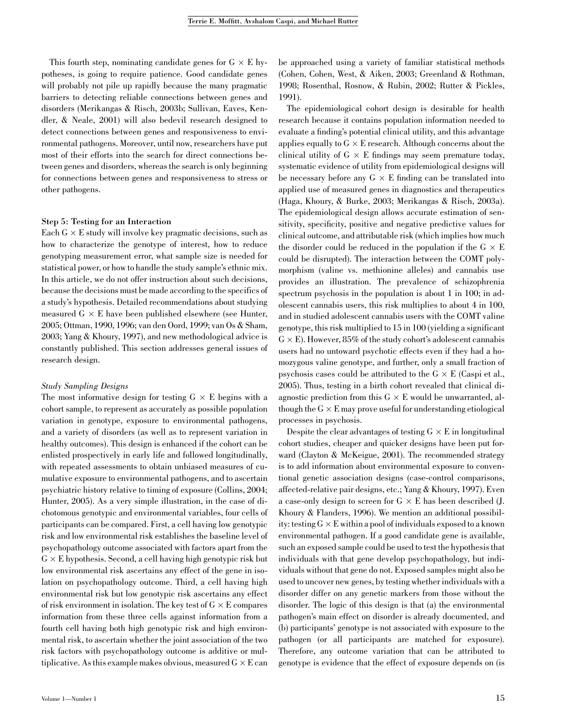This fourth step, nominating candidate genes for  $G \times E$  hypotheses, is going to require patience. Good candidate genes will probably not pile up rapidly because the many pragmatic barriers to detecting reliable connections between genes and disorders (Merikangas & Risch, 2003b; Sullivan, Eaves, Kendler, & Neale, 2001) will also bedevil research designed to detect connections between genes and responsiveness to environmental pathogens. Moreover, until now, researchers have put most of their efforts into the search for direct connections between genes and disorders, whereas the search is only beginning for connections between genes and responsiveness to stress or other pathogens.

#### Step 5: Testing for an Interaction

Each  $G \times E$  study will involve key pragmatic decisions, such as how to characterize the genotype of interest, how to reduce genotyping measurement error, what sample size is needed for statistical power, or how to handle the study sample's ethnic mix. In this article, we do not offer instruction about such decisions, because the decisions must be made according to the specifics of a study's hypothesis. Detailed recommendations about studying measured  $G \times E$  have been published elsewhere (see Hunter, 2005; Ottman, 1990, 1996; van den Oord, 1999; van Os & Sham, 2003; Yang & Khoury, 1997), and new methodological advice is constantly published. This section addresses general issues of research design.

## Study Sampling Designs

The most informative design for testing  $G \times E$  begins with a cohort sample, to represent as accurately as possible population variation in genotype, exposure to environmental pathogens, and a variety of disorders (as well as to represent variation in healthy outcomes). This design is enhanced if the cohort can be enlisted prospectively in early life and followed longitudinally, with repeated assessments to obtain unbiased measures of cumulative exposure to environmental pathogens, and to ascertain psychiatric history relative to timing of exposure (Collins, 2004; Hunter, 2005). As a very simple illustration, in the case of dichotomous genotypic and environmental variables, four cells of participants can be compared. First, a cell having low genotypic risk and low environmental risk establishes the baseline level of psychopathology outcome associated with factors apart from the  $G \times E$  hypothesis. Second, a cell having high genotypic risk but low environmental risk ascertains any effect of the gene in isolation on psychopathology outcome. Third, a cell having high environmental risk but low genotypic risk ascertains any effect of risk environment in isolation. The key test of  $G \times E$  compares information from these three cells against information from a fourth cell having both high genotypic risk and high environmental risk, to ascertain whether the joint association of the two risk factors with psychopathology outcome is additive or multiplicative. As this example makes obvious, measured  $G \times E$  can be approached using a variety of familiar statistical methods (Cohen, Cohen, West, & Aiken, 2003; Greenland & Rothman, 1998; Rosenthal, Rosnow, & Rubin, 2002; Rutter & Pickles, 1991).

The epidemiological cohort design is desirable for health research because it contains population information needed to evaluate a finding's potential clinical utility, and this advantage applies equally to  $G \times E$  research. Although concerns about the clinical utility of  $G \times E$  findings may seem premature today, systematic evidence of utility from epidemiological designs will be necessary before any  $G \times E$  finding can be translated into applied use of measured genes in diagnostics and therapeutics (Haga, Khoury, & Burke, 2003; Merikangas & Risch, 2003a). The epidemiological design allows accurate estimation of sensitivity, specificity, positive and negative predictive values for clinical outcome, and attributable risk (which implies how much the disorder could be reduced in the population if the  $G \times E$ could be disrupted). The interaction between the COMT polymorphism (valine vs. methionine alleles) and cannabis use provides an illustration. The prevalence of schizophrenia spectrum psychosis in the population is about 1 in 100; in adolescent cannabis users, this risk multiplies to about 4 in 100, and in studied adolescent cannabis users with the COMT valine genotype, this risk multiplied to 15 in 100 (yielding a significant  $G \times E$ ). However, 85% of the study cohort's adolescent cannabis users had no untoward psychotic effects even if they had a homozygous valine genotype, and further, only a small fraction of psychosis cases could be attributed to the  $G \times E$  (Caspi et al., 2005). Thus, testing in a birth cohort revealed that clinical diagnostic prediction from this  $G \times E$  would be unwarranted, although the  $G \times E$  may prove useful for understanding etiological processes in psychosis.

Despite the clear advantages of testing  $G \times E$  in longitudinal cohort studies, cheaper and quicker designs have been put forward (Clayton & McKeigue, 2001). The recommended strategy is to add information about environmental exposure to conventional genetic association designs (case-control comparisons, affected-relative pair designs, etc.; Yang & Khoury, 1997). Even a case-only design to screen for  $G \times E$  has been described (J. Khoury & Flanders, 1996). We mention an additional possibility: testing  $G \times E$  within a pool of individuals exposed to a known environmental pathogen. If a good candidate gene is available, such an exposed sample could be used to test the hypothesis that individuals with that gene develop psychopathology, but individuals without that gene do not. Exposed samples might also be used to uncover new genes, by testing whether individuals with a disorder differ on any genetic markers from those without the disorder. The logic of this design is that (a) the environmental pathogen's main effect on disorder is already documented, and (b) participants' genotype is not associated with exposure to the pathogen (or all participants are matched for exposure). Therefore, any outcome variation that can be attributed to genotype is evidence that the effect of exposure depends on (is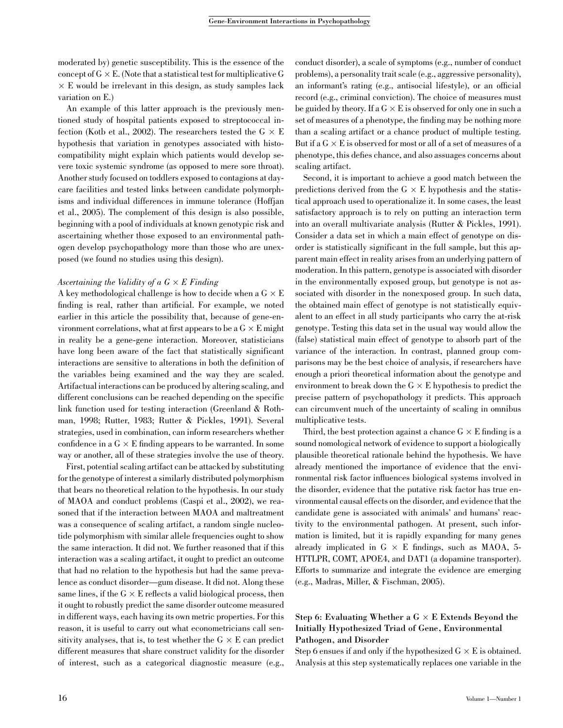moderated by) genetic susceptibility. This is the essence of the concept of  $G \times E$ . (Note that a statistical test for multiplicative G  $\times$  E would be irrelevant in this design, as study samples lack variation on E.)

An example of this latter approach is the previously mentioned study of hospital patients exposed to streptococcal infection (Kotb et al., 2002). The researchers tested the  $G \times E$ hypothesis that variation in genotypes associated with histocompatibility might explain which patients would develop severe toxic systemic syndrome (as opposed to mere sore throat). Another study focused on toddlers exposed to contagions at daycare facilities and tested links between candidate polymorphisms and individual differences in immune tolerance (Hoffjan et al., 2005). The complement of this design is also possible, beginning with a pool of individuals at known genotypic risk and ascertaining whether those exposed to an environmental pathogen develop psychopathology more than those who are unexposed (we found no studies using this design).

#### Ascertaining the Validity of  $a G \times E$  Finding

A key methodological challenge is how to decide when a  $G \times E$ finding is real, rather than artificial. For example, we noted earlier in this article the possibility that, because of gene-environment correlations, what at first appears to be a  $G \times E$  might in reality be a gene-gene interaction. Moreover, statisticians have long been aware of the fact that statistically significant interactions are sensitive to alterations in both the definition of the variables being examined and the way they are scaled. Artifactual interactions can be produced by altering scaling, and different conclusions can be reached depending on the specific link function used for testing interaction (Greenland & Rothman, 1998; Rutter, 1983; Rutter & Pickles, 1991). Several strategies, used in combination, can inform researchers whether confidence in a  $G \times E$  finding appears to be warranted. In some way or another, all of these strategies involve the use of theory.

First, potential scaling artifact can be attacked by substituting for the genotype of interest a similarly distributed polymorphism that bears no theoretical relation to the hypothesis. In our study of MAOA and conduct problems (Caspi et al., 2002), we reasoned that if the interaction between MAOA and maltreatment was a consequence of scaling artifact, a random single nucleotide polymorphism with similar allele frequencies ought to show the same interaction. It did not. We further reasoned that if this interaction was a scaling artifact, it ought to predict an outcome that had no relation to the hypothesis but had the same prevalence as conduct disorder—gum disease. It did not. Along these same lines, if the  $G \times E$  reflects a valid biological process, then it ought to robustly predict the same disorder outcome measured in different ways, each having its own metric properties. For this reason, it is useful to carry out what econometricians call sensitivity analyses, that is, to test whether the  $G \times E$  can predict different measures that share construct validity for the disorder of interest, such as a categorical diagnostic measure (e.g.,

conduct disorder), a scale of symptoms (e.g., number of conduct problems), a personality trait scale (e.g., aggressive personality), an informant's rating (e.g., antisocial lifestyle), or an official record (e.g., criminal conviction). The choice of measures must be guided by theory. If a  $G \times E$  is observed for only one in such a set of measures of a phenotype, the finding may be nothing more than a scaling artifact or a chance product of multiple testing. But if a  $G \times E$  is observed for most or all of a set of measures of a phenotype, this defies chance, and also assuages concerns about scaling artifact.

Second, it is important to achieve a good match between the predictions derived from the  $G \times E$  hypothesis and the statistical approach used to operationalize it. In some cases, the least satisfactory approach is to rely on putting an interaction term into an overall multivariate analysis (Rutter & Pickles, 1991). Consider a data set in which a main effect of genotype on disorder is statistically significant in the full sample, but this apparent main effect in reality arises from an underlying pattern of moderation. In this pattern, genotype is associated with disorder in the environmentally exposed group, but genotype is not associated with disorder in the nonexposed group. In such data, the obtained main effect of genotype is not statistically equivalent to an effect in all study participants who carry the at-risk genotype. Testing this data set in the usual way would allow the (false) statistical main effect of genotype to absorb part of the variance of the interaction. In contrast, planned group comparisons may be the best choice of analysis, if researchers have enough a priori theoretical information about the genotype and environment to break down the  $G \times E$  hypothesis to predict the precise pattern of psychopathology it predicts. This approach can circumvent much of the uncertainty of scaling in omnibus multiplicative tests.

Third, the best protection against a chance  $G \times E$  finding is a sound nomological network of evidence to support a biologically plausible theoretical rationale behind the hypothesis. We have already mentioned the importance of evidence that the environmental risk factor influences biological systems involved in the disorder, evidence that the putative risk factor has true environmental causal effects on the disorder, and evidence that the candidate gene is associated with animals' and humans' reactivity to the environmental pathogen. At present, such information is limited, but it is rapidly expanding for many genes already implicated in  $G \times E$  findings, such as MAOA, 5-HTTLPR, COMT, APOE4, and DAT1 (a dopamine transporter). Efforts to summarize and integrate the evidence are emerging (e.g., Madras, Miller, & Fischman, 2005).

# Step 6: Evaluating Whether a  $G \times E$  Extends Beyond the Initially Hypothesized Triad of Gene, Environmental Pathogen, and Disorder

Step 6 ensues if and only if the hypothesized  $G \times E$  is obtained. Analysis at this step systematically replaces one variable in the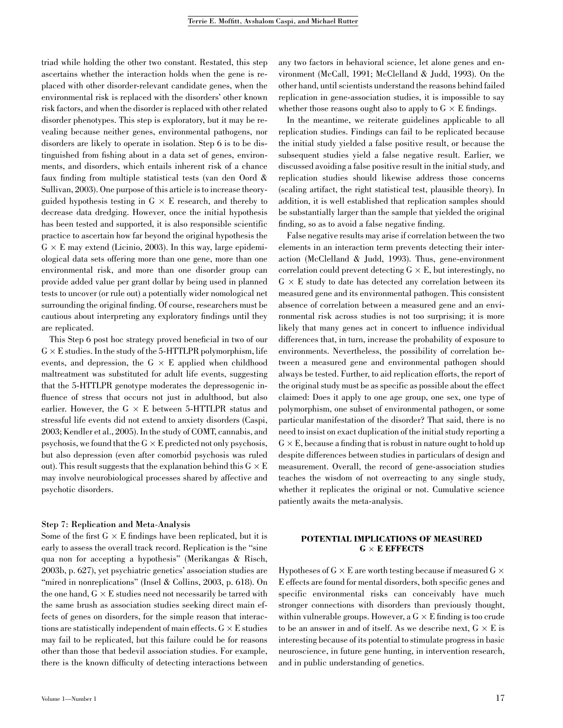triad while holding the other two constant. Restated, this step ascertains whether the interaction holds when the gene is replaced with other disorder-relevant candidate genes, when the environmental risk is replaced with the disorders' other known risk factors, and when the disorder is replaced with other related disorder phenotypes. This step is exploratory, but it may be revealing because neither genes, environmental pathogens, nor disorders are likely to operate in isolation. Step 6 is to be distinguished from fishing about in a data set of genes, environments, and disorders, which entails inherent risk of a chance faux finding from multiple statistical tests (van den Oord & Sullivan, 2003). One purpose of this article is to increase theoryguided hypothesis testing in  $G \times E$  research, and thereby to decrease data dredging. However, once the initial hypothesis has been tested and supported, it is also responsible scientific practice to ascertain how far beyond the original hypothesis the  $G \times E$  may extend (Licinio, 2003). In this way, large epidemiological data sets offering more than one gene, more than one environmental risk, and more than one disorder group can provide added value per grant dollar by being used in planned tests to uncover (or rule out) a potentially wider nomological net surrounding the original finding. Of course, researchers must be cautious about interpreting any exploratory findings until they are replicated.

This Step 6 post hoc strategy proved beneficial in two of our  $G \times E$  studies. In the study of the 5-HTTLPR polymorphism, life events, and depression, the  $G \times E$  applied when childhood maltreatment was substituted for adult life events, suggesting that the 5-HTTLPR genotype moderates the depressogenic influence of stress that occurs not just in adulthood, but also earlier. However, the  $G \times E$  between 5-HTTLPR status and stressful life events did not extend to anxiety disorders (Caspi, 2003; Kendler et al., 2005). In the study of COMT, cannabis, and psychosis, we found that the  $G \times E$  predicted not only psychosis, but also depression (even after comorbid psychosis was ruled out). This result suggests that the explanation behind this  $G \times E$ may involve neurobiological processes shared by affective and psychotic disorders.

## Step 7: Replication and Meta-Analysis

Some of the first  $G \times E$  findings have been replicated, but it is early to assess the overall track record. Replication is the ''sine qua non for accepting a hypothesis'' (Merikangas & Risch, 2003b, p. 627), yet psychiatric genetics' association studies are "mired in nonreplications" (Insel & Collins, 2003, p. 618). On the one hand,  $G \times E$  studies need not necessarily be tarred with the same brush as association studies seeking direct main effects of genes on disorders, for the simple reason that interactions are statistically independent of main effects.  $G \times E$  studies may fail to be replicated, but this failure could be for reasons other than those that bedevil association studies. For example, there is the known difficulty of detecting interactions between any two factors in behavioral science, let alone genes and environment (McCall, 1991; McClelland & Judd, 1993). On the other hand, until scientists understand the reasons behind failed replication in gene-association studies, it is impossible to say whether those reasons ought also to apply to  $G \times E$  findings.

In the meantime, we reiterate guidelines applicable to all replication studies. Findings can fail to be replicated because the initial study yielded a false positive result, or because the subsequent studies yield a false negative result. Earlier, we discussed avoiding a false positive result in the initial study, and replication studies should likewise address those concerns (scaling artifact, the right statistical test, plausible theory). In addition, it is well established that replication samples should be substantially larger than the sample that yielded the original finding, so as to avoid a false negative finding.

False negative results may arise if correlation between the two elements in an interaction term prevents detecting their interaction (McClelland & Judd, 1993). Thus, gene-environment correlation could prevent detecting  $G \times E$ , but interestingly, no  $G \times E$  study to date has detected any correlation between its measured gene and its environmental pathogen. This consistent absence of correlation between a measured gene and an environmental risk across studies is not too surprising; it is more likely that many genes act in concert to influence individual differences that, in turn, increase the probability of exposure to environments. Nevertheless, the possibility of correlation between a measured gene and environmental pathogen should always be tested. Further, to aid replication efforts, the report of the original study must be as specific as possible about the effect claimed: Does it apply to one age group, one sex, one type of polymorphism, one subset of environmental pathogen, or some particular manifestation of the disorder? That said, there is no need to insist on exact duplication of the initial study reporting a  $G \times E$ , because a finding that is robust in nature ought to hold up despite differences between studies in particulars of design and measurement. Overall, the record of gene-association studies teaches the wisdom of not overreacting to any single study, whether it replicates the original or not. Cumulative science patiently awaits the meta-analysis.

#### POTENTIAL IMPLICATIONS OF MEASURED  $G \times E$  EFFECTS

Hypotheses of  $G \times E$  are worth testing because if measured  $G \times$ E effects are found for mental disorders, both specific genes and specific environmental risks can conceivably have much stronger connections with disorders than previously thought, within vulnerable groups. However, a  $G \times E$  finding is too crude to be an answer in and of itself. As we describe next,  $G \times E$  is interesting because of its potential to stimulate progress in basic neuroscience, in future gene hunting, in intervention research, and in public understanding of genetics.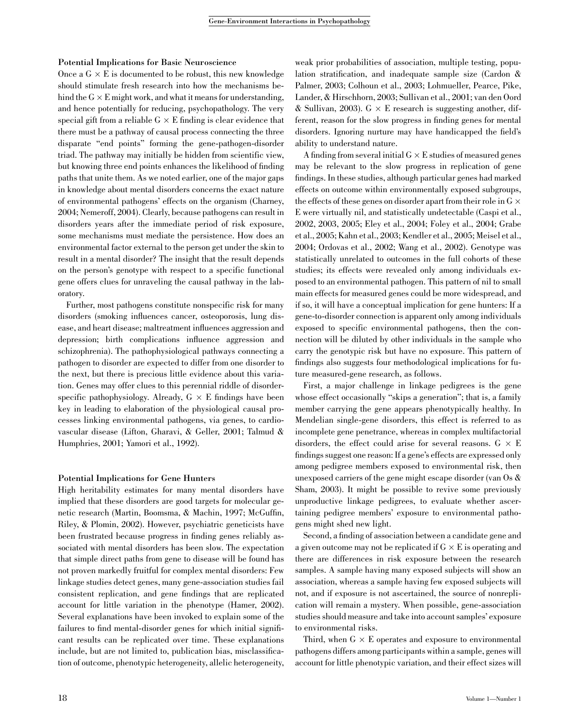#### Potential Implications for Basic Neuroscience

Once a  $G \times E$  is documented to be robust, this new knowledge should stimulate fresh research into how the mechanisms behind the  $G \times E$  might work, and what it means for understanding, and hence potentially for reducing, psychopathology. The very special gift from a reliable  $G \times E$  finding is clear evidence that there must be a pathway of causal process connecting the three disparate ''end points'' forming the gene-pathogen-disorder triad. The pathway may initially be hidden from scientific view, but knowing three end points enhances the likelihood of finding paths that unite them. As we noted earlier, one of the major gaps in knowledge about mental disorders concerns the exact nature of environmental pathogens' effects on the organism (Charney, 2004; Nemeroff, 2004). Clearly, because pathogens can result in disorders years after the immediate period of risk exposure, some mechanisms must mediate the persistence. How does an environmental factor external to the person get under the skin to result in a mental disorder? The insight that the result depends on the person's genotype with respect to a specific functional gene offers clues for unraveling the causal pathway in the laboratory.

Further, most pathogens constitute nonspecific risk for many disorders (smoking influences cancer, osteoporosis, lung disease, and heart disease; maltreatment influences aggression and depression; birth complications influence aggression and schizophrenia). The pathophysiological pathways connecting a pathogen to disorder are expected to differ from one disorder to the next, but there is precious little evidence about this variation. Genes may offer clues to this perennial riddle of disorderspecific pathophysiology. Already,  $G \times E$  findings have been key in leading to elaboration of the physiological causal processes linking environmental pathogens, via genes, to cardiovascular disease (Lifton, Gharavi, & Geller, 2001; Talmud & Humphries, 2001; Yamori et al., 1992).

#### Potential Implications for Gene Hunters

High heritability estimates for many mental disorders have implied that these disorders are good targets for molecular genetic research (Martin, Boomsma, & Machin, 1997; McGuffin, Riley, & Plomin, 2002). However, psychiatric geneticists have been frustrated because progress in finding genes reliably associated with mental disorders has been slow. The expectation that simple direct paths from gene to disease will be found has not proven markedly fruitful for complex mental disorders: Few linkage studies detect genes, many gene-association studies fail consistent replication, and gene findings that are replicated account for little variation in the phenotype (Hamer, 2002). Several explanations have been invoked to explain some of the failures to find mental-disorder genes for which initial significant results can be replicated over time. These explanations include, but are not limited to, publication bias, misclassification of outcome, phenotypic heterogeneity, allelic heterogeneity,

weak prior probabilities of association, multiple testing, population stratification, and inadequate sample size (Cardon & Palmer, 2003; Colhoun et al., 2003; Lohmueller, Pearce, Pike, Lander, & Hirschhorn, 2003; Sullivan et al., 2001; van den Oord & Sullivan, 2003).  $G \times E$  research is suggesting another, different, reason for the slow progress in finding genes for mental disorders. Ignoring nurture may have handicapped the field's ability to understand nature.

A finding from several initial  $G \times E$  studies of measured genes may be relevant to the slow progress in replication of gene findings. In these studies, although particular genes had marked effects on outcome within environmentally exposed subgroups, the effects of these genes on disorder apart from their role in  $G \times$ E were virtually nil, and statistically undetectable (Caspi et al., 2002, 2003, 2005; Eley et al., 2004; Foley et al., 2004; Grabe et al., 2005; Kahn et al., 2003; Kendler et al., 2005; Meisel et al., 2004; Ordovas et al., 2002; Wang et al., 2002). Genotype was statistically unrelated to outcomes in the full cohorts of these studies; its effects were revealed only among individuals exposed to an environmental pathogen. This pattern of nil to small main effects for measured genes could be more widespread, and if so, it will have a conceptual implication for gene hunters: If a gene-to-disorder connection is apparent only among individuals exposed to specific environmental pathogens, then the connection will be diluted by other individuals in the sample who carry the genotypic risk but have no exposure. This pattern of findings also suggests four methodological implications for future measured-gene research, as follows.

First, a major challenge in linkage pedigrees is the gene whose effect occasionally "skips a generation"; that is, a family member carrying the gene appears phenotypically healthy. In Mendelian single-gene disorders, this effect is referred to as incomplete gene penetrance, whereas in complex multifactorial disorders, the effect could arise for several reasons.  $G \times E$ findings suggest one reason: If a gene's effects are expressed only among pedigree members exposed to environmental risk, then unexposed carriers of the gene might escape disorder (van Os & Sham, 2003). It might be possible to revive some previously unproductive linkage pedigrees, to evaluate whether ascertaining pedigree members' exposure to environmental pathogens might shed new light.

Second, a finding of association between a candidate gene and a given outcome may not be replicated if  $G \times E$  is operating and there are differences in risk exposure between the research samples. A sample having many exposed subjects will show an association, whereas a sample having few exposed subjects will not, and if exposure is not ascertained, the source of nonreplication will remain a mystery. When possible, gene-association studies should measure and take into account samples' exposure to environmental risks.

Third, when  $G \times E$  operates and exposure to environmental pathogens differs among participants within a sample, genes will account for little phenotypic variation, and their effect sizes will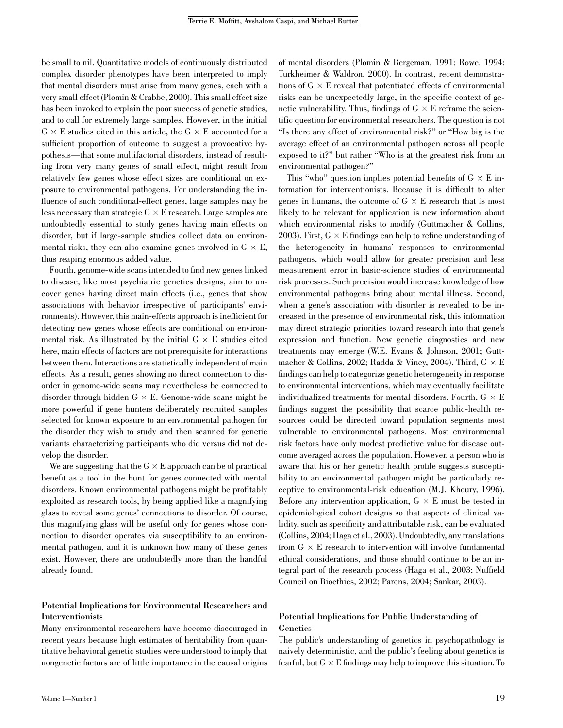be small to nil. Quantitative models of continuously distributed complex disorder phenotypes have been interpreted to imply that mental disorders must arise from many genes, each with a very small effect (Plomin & Crabbe, 2000). This small effect size has been invoked to explain the poor success of genetic studies, and to call for extremely large samples. However, in the initial  $G \times E$  studies cited in this article, the  $G \times E$  accounted for a sufficient proportion of outcome to suggest a provocative hypothesis—that some multifactorial disorders, instead of resulting from very many genes of small effect, might result from relatively few genes whose effect sizes are conditional on exposure to environmental pathogens. For understanding the influence of such conditional-effect genes, large samples may be less necessary than strategic  $G \times E$  research. Large samples are undoubtedly essential to study genes having main effects on disorder, but if large-sample studies collect data on environmental risks, they can also examine genes involved in  $G \times E$ , thus reaping enormous added value.

Fourth, genome-wide scans intended to find new genes linked to disease, like most psychiatric genetics designs, aim to uncover genes having direct main effects (i.e., genes that show associations with behavior irrespective of participants' environments). However, this main-effects approach is inefficient for detecting new genes whose effects are conditional on environmental risk. As illustrated by the initial  $G \times E$  studies cited here, main effects of factors are not prerequisite for interactions between them. Interactions are statistically independent of main effects. As a result, genes showing no direct connection to disorder in genome-wide scans may nevertheless be connected to disorder through hidden  $G \times E$ . Genome-wide scans might be more powerful if gene hunters deliberately recruited samples selected for known exposure to an environmental pathogen for the disorder they wish to study and then scanned for genetic variants characterizing participants who did versus did not develop the disorder.

We are suggesting that the  $G \times E$  approach can be of practical benefit as a tool in the hunt for genes connected with mental disorders. Known environmental pathogens might be profitably exploited as research tools, by being applied like a magnifying glass to reveal some genes' connections to disorder. Of course, this magnifying glass will be useful only for genes whose connection to disorder operates via susceptibility to an environmental pathogen, and it is unknown how many of these genes exist. However, there are undoubtedly more than the handful already found.

# Potential Implications for Environmental Researchers and Interventionists

Many environmental researchers have become discouraged in recent years because high estimates of heritability from quantitative behavioral genetic studies were understood to imply that nongenetic factors are of little importance in the causal origins of mental disorders (Plomin & Bergeman, 1991; Rowe, 1994; Turkheimer & Waldron, 2000). In contrast, recent demonstrations of  $G \times E$  reveal that potentiated effects of environmental risks can be unexpectedly large, in the specific context of genetic vulnerability. Thus, findings of  $G \times E$  reframe the scientific question for environmental researchers. The question is not ''Is there any effect of environmental risk?'' or ''How big is the average effect of an environmental pathogen across all people exposed to it?'' but rather ''Who is at the greatest risk from an environmental pathogen?''

This "who" question implies potential benefits of  $G \times E$  information for interventionists. Because it is difficult to alter genes in humans, the outcome of  $G \times E$  research that is most likely to be relevant for application is new information about which environmental risks to modify (Guttmacher & Collins, 2003). First,  $G \times E$  findings can help to refine understanding of the heterogeneity in humans' responses to environmental pathogens, which would allow for greater precision and less measurement error in basic-science studies of environmental risk processes. Such precision would increase knowledge of how environmental pathogens bring about mental illness. Second, when a gene's association with disorder is revealed to be increased in the presence of environmental risk, this information may direct strategic priorities toward research into that gene's expression and function. New genetic diagnostics and new treatments may emerge (W.E. Evans & Johnson, 2001; Guttmacher & Collins, 2002; Radda & Viney, 2004). Third,  $G \times E$ findings can help to categorize genetic heterogeneity in response to environmental interventions, which may eventually facilitate individualized treatments for mental disorders. Fourth,  $G \times E$ findings suggest the possibility that scarce public-health resources could be directed toward population segments most vulnerable to environmental pathogens. Most environmental risk factors have only modest predictive value for disease outcome averaged across the population. However, a person who is aware that his or her genetic health profile suggests susceptibility to an environmental pathogen might be particularly receptive to environmental-risk education (M.J. Khoury, 1996). Before any intervention application,  $G \times E$  must be tested in epidemiological cohort designs so that aspects of clinical validity, such as specificity and attributable risk, can be evaluated (Collins, 2004; Haga et al., 2003). Undoubtedly, any translations from  $G \times E$  research to intervention will involve fundamental ethical considerations, and those should continue to be an integral part of the research process (Haga et al., 2003; Nuffield Council on Bioethics, 2002; Parens, 2004; Sankar, 2003).

# Potential Implications for Public Understanding of Genetics

The public's understanding of genetics in psychopathology is naively deterministic, and the public's feeling about genetics is fearful, but  $G \times E$  findings may help to improve this situation. To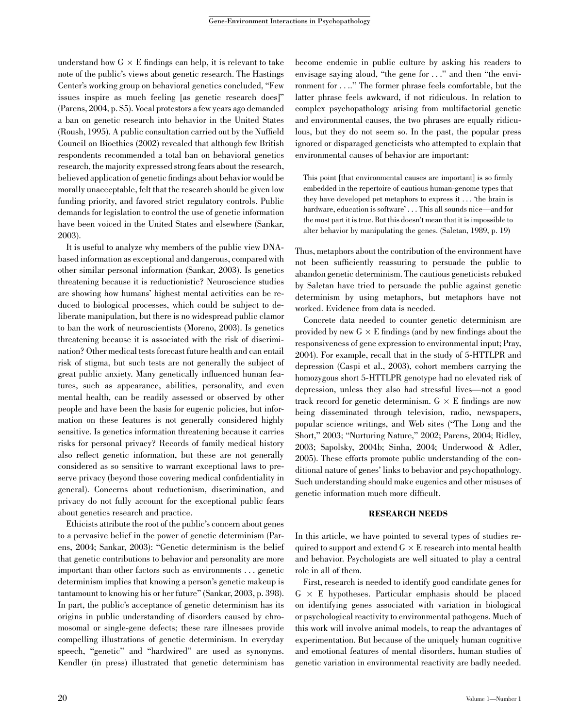understand how  $G \times E$  findings can help, it is relevant to take note of the public's views about genetic research. The Hastings Center's working group on behavioral genetics concluded, ''Few issues inspire as much feeling [as genetic research does]'' (Parens, 2004, p. S5). Vocal protestors a few years ago demanded a ban on genetic research into behavior in the United States (Roush, 1995). A public consultation carried out by the Nuffield Council on Bioethics (2002) revealed that although few British respondents recommended a total ban on behavioral genetics research, the majority expressed strong fears about the research, believed application of genetic findings about behavior would be morally unacceptable, felt that the research should be given low funding priority, and favored strict regulatory controls. Public demands for legislation to control the use of genetic information have been voiced in the United States and elsewhere (Sankar, 2003).

It is useful to analyze why members of the public view DNAbased information as exceptional and dangerous, compared with other similar personal information (Sankar, 2003). Is genetics threatening because it is reductionistic? Neuroscience studies are showing how humans' highest mental activities can be reduced to biological processes, which could be subject to deliberate manipulation, but there is no widespread public clamor to ban the work of neuroscientists (Moreno, 2003). Is genetics threatening because it is associated with the risk of discrimination? Other medical tests forecast future health and can entail risk of stigma, but such tests are not generally the subject of great public anxiety. Many genetically influenced human features, such as appearance, abilities, personality, and even mental health, can be readily assessed or observed by other people and have been the basis for eugenic policies, but information on these features is not generally considered highly sensitive. Is genetics information threatening because it carries risks for personal privacy? Records of family medical history also reflect genetic information, but these are not generally considered as so sensitive to warrant exceptional laws to preserve privacy (beyond those covering medical confidentiality in general). Concerns about reductionism, discrimination, and privacy do not fully account for the exceptional public fears about genetics research and practice.

Ethicists attribute the root of the public's concern about genes to a pervasive belief in the power of genetic determinism (Parens, 2004; Sankar, 2003): ''Genetic determinism is the belief that genetic contributions to behavior and personality are more important than other factors such as environments . . . genetic determinism implies that knowing a person's genetic makeup is tantamount to knowing his or her future'' (Sankar, 2003, p. 398). In part, the public's acceptance of genetic determinism has its origins in public understanding of disorders caused by chromosomal or single-gene defects; these rare illnesses provide compelling illustrations of genetic determinism. In everyday speech, "genetic" and "hardwired" are used as synonyms. Kendler (in press) illustrated that genetic determinism has become endemic in public culture by asking his readers to envisage saying aloud, "the gene for . . ." and then "the environment for . . ..'' The former phrase feels comfortable, but the latter phrase feels awkward, if not ridiculous. In relation to complex psychopathology arising from multifactorial genetic and environmental causes, the two phrases are equally ridiculous, but they do not seem so. In the past, the popular press ignored or disparaged geneticists who attempted to explain that environmental causes of behavior are important:

This point [that environmental causes are important] is so firmly embedded in the repertoire of cautious human-genome types that they have developed pet metaphors to express it . . . 'the brain is hardware, education is software'... This all sounds nice—and for the most part it is true. But this doesn't mean that it is impossible to alter behavior by manipulating the genes. (Saletan, 1989, p. 19)

Thus, metaphors about the contribution of the environment have not been sufficiently reassuring to persuade the public to abandon genetic determinism. The cautious geneticists rebuked by Saletan have tried to persuade the public against genetic determinism by using metaphors, but metaphors have not worked. Evidence from data is needed.

Concrete data needed to counter genetic determinism are provided by new  $G \times E$  findings (and by new findings about the responsiveness of gene expression to environmental input; Pray, 2004). For example, recall that in the study of 5-HTTLPR and depression (Caspi et al., 2003), cohort members carrying the homozygous short 5-HTTLPR genotype had no elevated risk of depression, unless they also had stressful lives—not a good track record for genetic determinism.  $G \times E$  findings are now being disseminated through television, radio, newspapers, popular science writings, and Web sites (''The Long and the Short,'' 2003; ''Nurturing Nature,'' 2002; Parens, 2004; Ridley, 2003; Sapolsky, 2004b; Sinha, 2004; Underwood & Adler, 2005). These efforts promote public understanding of the conditional nature of genes' links to behavior and psychopathology. Such understanding should make eugenics and other misuses of genetic information much more difficult.

#### RESEARCH NEEDS

In this article, we have pointed to several types of studies required to support and extend  $G \times E$  research into mental health and behavior. Psychologists are well situated to play a central role in all of them.

First, research is needed to identify good candidate genes for  $G \times E$  hypotheses. Particular emphasis should be placed on identifying genes associated with variation in biological or psychological reactivity to environmental pathogens. Much of this work will involve animal models, to reap the advantages of experimentation. But because of the uniquely human cognitive and emotional features of mental disorders, human studies of genetic variation in environmental reactivity are badly needed.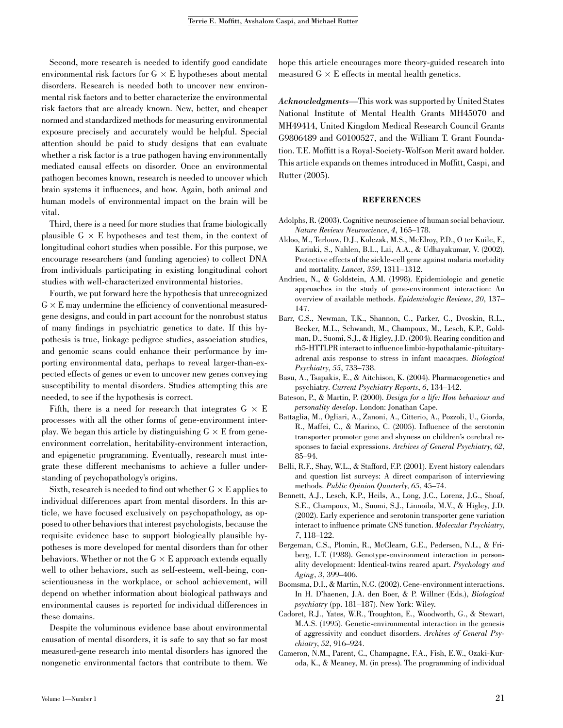Second, more research is needed to identify good candidate environmental risk factors for  $G \times E$  hypotheses about mental disorders. Research is needed both to uncover new environmental risk factors and to better characterize the environmental risk factors that are already known. New, better, and cheaper normed and standardized methods for measuring environmental exposure precisely and accurately would be helpful. Special attention should be paid to study designs that can evaluate whether a risk factor is a true pathogen having environmentally mediated causal effects on disorder. Once an environmental pathogen becomes known, research is needed to uncover which brain systems it influences, and how. Again, both animal and human models of environmental impact on the brain will be vital.

Third, there is a need for more studies that frame biologically plausible  $G \times E$  hypotheses and test them, in the context of longitudinal cohort studies when possible. For this purpose, we encourage researchers (and funding agencies) to collect DNA from individuals participating in existing longitudinal cohort studies with well-characterized environmental histories.

Fourth, we put forward here the hypothesis that unrecognized  $G \times E$  may undermine the efficiency of conventional measuredgene designs, and could in part account for the nonrobust status of many findings in psychiatric genetics to date. If this hypothesis is true, linkage pedigree studies, association studies, and genomic scans could enhance their performance by importing environmental data, perhaps to reveal larger-than-expected effects of genes or even to uncover new genes conveying susceptibility to mental disorders. Studies attempting this are needed, to see if the hypothesis is correct.

Fifth, there is a need for research that integrates  $G \times E$ processes with all the other forms of gene-environment interplay. We began this article by distinguishing  $G \times E$  from geneenvironment correlation, heritability-environment interaction, and epigenetic programming. Eventually, research must integrate these different mechanisms to achieve a fuller understanding of psychopathology's origins.

Sixth, research is needed to find out whether  $G \times E$  applies to individual differences apart from mental disorders. In this article, we have focused exclusively on psychopathology, as opposed to other behaviors that interest psychologists, because the requisite evidence base to support biologically plausible hypotheses is more developed for mental disorders than for other behaviors. Whether or not the  $G \times E$  approach extends equally well to other behaviors, such as self-esteem, well-being, conscientiousness in the workplace, or school achievement, will depend on whether information about biological pathways and environmental causes is reported for individual differences in these domains.

Despite the voluminous evidence base about environmental causation of mental disorders, it is safe to say that so far most measured-gene research into mental disorders has ignored the nongenetic environmental factors that contribute to them. We hope this article encourages more theory-guided research into measured  $G \times E$  effects in mental health genetics.

Acknowledgments—This work was supported by United States National Institute of Mental Health Grants MH45070 and MH49414, United Kingdom Medical Research Council Grants G9806489 and G0100527, and the William T. Grant Foundation. T.E. Moffitt is a Royal-Society-Wolfson Merit award holder. This article expands on themes introduced in Moffitt, Caspi, and Rutter (2005).

#### REFERENCES

- Adolphs, R. (2003). Cognitive neuroscience of human social behaviour. Nature Reviews Neuroscience, 4, 165–178.
- Aldoo, M., Terlouw, D.J., Kolczak, M.S., McElroy, P.D., O ter Kuile, F., Kariuki, S., Nahlen, B.L., Lai, A.A., & Udhayakumar, V. (2002). Protective effects of the sickle-cell gene against malaria morbidity and mortality. Lancet, 359, 1311–1312.
- Andrieu, N., & Goldstein, A.M. (1998). Epidemiologic and genetic approaches in the study of gene-environment interaction: An overview of available methods. Epidemiologic Reviews, 20, 137– 147.
- Barr, C.S., Newman, T.K., Shannon, C., Parker, C., Dvoskin, R.L., Becker, M.L., Schwandt, M., Champoux, M., Lesch, K.P., Goldman, D., Suomi, S.J., & Higley, J.D. (2004). Rearing condition and rh5-HTTLPR interact to influence limbic-hypothalamic-pituitaryadrenal axis response to stress in infant macaques. Biological Psychiatry, 55, 733–738.
- Basu, A., Tsapakis, E., & Aitchison, K. (2004). Pharmacogenetics and psychiatry. Current Psychiatry Reports, 6, 134–142.
- Bateson, P., & Martin, P. (2000). Design for a life: How behaviour and personality develop. London: Jonathan Cape.
- Battaglia, M., Ogliari, A., Zanoni, A., Citterio, A., Pozzoli, U., Giorda, R., Maffei, C., & Marino, C. (2005). Influence of the serotonin transporter promoter gene and shyness on children's cerebral responses to facial expressions. Archives of General Psychiatry, 62, 85–94.
- Belli, R.F., Shay, W.L., & Stafford, F.P. (2001). Event history calendars and question list surveys: A direct comparison of interviewing methods. Public Opinion Quarterly, 65, 45–74.
- Bennett, A.J., Lesch, K.P., Heils, A., Long, J.C., Lorenz, J.G., Shoaf, S.E., Champoux, M., Suomi, S.J., Linnoila, M.V., & Higley, J.D. (2002). Early experience and serotonin transporter gene variation interact to influence primate CNS function. Molecular Psychiatry, 7, 118–122.
- Bergeman, C.S., Plomin, R., McClearn, G.E., Pedersen, N.L., & Friberg, L.T. (1988). Genotype-environment interaction in personality development: Identical-twins reared apart. Psychology and Aging, 3, 399–406.
- Boomsma, D.I., & Martin, N.G. (2002). Gene-environment interactions. In H. D'haenen, J.A. den Boer, & P. Willner (Eds.), Biological psychiatry (pp. 181–187). New York: Wiley.
- Cadoret, R.J., Yates, W.R., Troughton, E., Woodworth, G., & Stewart, M.A.S. (1995). Genetic-environmental interaction in the genesis of aggressivity and conduct disorders. Archives of General Psychiatry, 52, 916–924.
- Cameron, N.M., Parent, C., Champagne, F.A., Fish, E.W., Ozaki-Kuroda, K., & Meaney, M. (in press). The programming of individual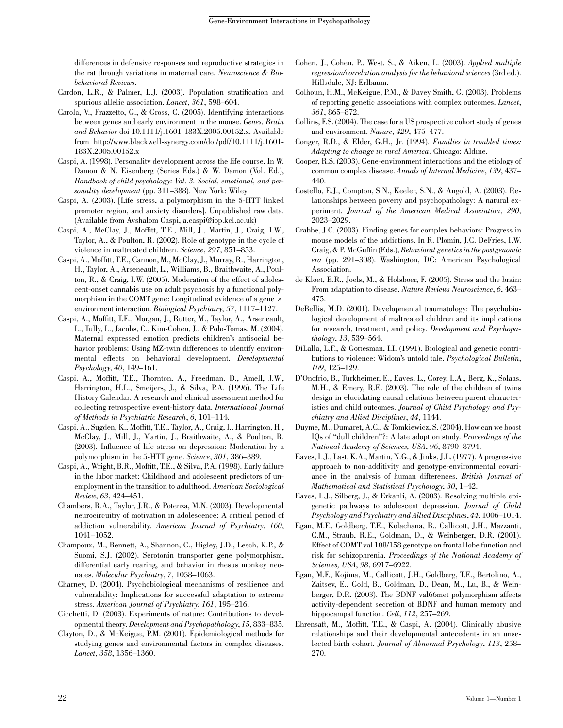differences in defensive responses and reproductive strategies in the rat through variations in maternal care. Neuroscience & Biobehavioral Reviews.

- Cardon, L.R., & Palmer, L.J. (2003). Population stratification and spurious allelic association. Lancet, 361, 598–604.
- Carola, V., Frazzetto, G., & Gross, C. (2005). Identifying interactions between genes and early environment in the mouse. Genes, Brain and Behavior doi 10.1111/j.1601-183X.2005.00152.x. Available from http://www.blackwell-synergy.com/doi/pdf/10.1111/j.1601- 183X.2005.00152.x
- Caspi, A. (1998). Personality development across the life course. In W. Damon & N. Eisenberg (Series Eds.) & W. Damon (Vol. Ed.), Handbook of child psychology: Vol. 3. Social, emotional, and personality development (pp. 311–388). New York: Wiley.
- Caspi, A. (2003). [Life stress, a polymorphism in the 5-HTT linked promoter region, and anxiety disorders]. Unpublished raw data. (Available from Avshalom Caspi, a.caspi@iop.kcl.ac.uk)
- Caspi, A., McClay, J., Moffitt, T.E., Mill, J., Martin, J., Craig, I.W., Taylor, A., & Poulton, R. (2002). Role of genotype in the cycle of violence in maltreated children. Science, 297, 851–853.
- Caspi, A., Moffitt, T.E., Cannon, M., McClay, J., Murray, R., Harrington, H., Taylor, A., Arseneault, L., Williams, B., Braithwaite, A., Poulton, R., & Craig, I.W. (2005). Moderation of the effect of adolescent-onset cannabis use on adult psychosis by a functional polymorphism in the COMT gene: Longitudinal evidence of a gene  $\times$ environment interaction. Biological Psychiatry, 57, 1117–1127.
- Caspi, A., Moffitt, T.E., Morgan, J., Rutter, M., Taylor, A., Arseneault, L., Tully, L., Jacobs, C., Kim-Cohen, J., & Polo-Tomas, M. (2004). Maternal expressed emotion predicts children's antisocial behavior problems: Using MZ-twin differences to identify environmental effects on behavioral development. Developmental Psychology, 40, 149–161.
- Caspi, A., Moffitt, T.E., Thornton, A., Freedman, D., Amell, J.W., Harrington, H.L., Smeijers, J., & Silva, P.A. (1996). The Life History Calendar: A research and clinical assessment method for collecting retrospective event-history data. International Journal of Methods in Psychiatric Research, 6, 101–114.
- Caspi, A., Sugden, K., Moffitt, T.E., Taylor, A., Craig, I., Harrington, H., McClay, J., Mill, J., Martin, J., Braithwaite, A., & Poulton, R. (2003). Influence of life stress on depression: Moderation by a polymorphism in the 5-HTT gene. Science, 301, 386–389.
- Caspi, A., Wright, B.R., Moffitt, T.E., & Silva, P.A. (1998). Early failure in the labor market: Childhood and adolescent predictors of unemployment in the transition to adulthood. American Sociological Review, 63, 424–451.
- Chambers, R.A., Taylor, J.R., & Potenza, M.N. (2003). Developmental neurocircuitry of motivation in adolescence: A critical period of addiction vulnerability. American Journal of Psychiatry, 160, 1041–1052.
- Champoux, M., Bennett, A., Shannon, C., Higley, J.D., Lesch, K.P., & Suomi, S.J. (2002). Serotonin transporter gene polymorphism, differential early rearing, and behavior in rhesus monkey neonates. Molecular Psychiatry, 7, 1058–1063.
- Charney, D. (2004). Psychobiological mechanisms of resilience and vulnerability: Implications for successful adaptation to extreme stress. American Journal of Psychiatry, 161, 195–216.
- Cicchetti, D. (2003). Experiments of nature: Contributions to developmental theory. Development and Psychopathology, 15, 833–835.
- Clayton, D., & McKeigue, P.M. (2001). Epidemiological methods for studying genes and environmental factors in complex diseases. Lancet, 358, 1356–1360.
- Cohen, J., Cohen, P., West, S., & Aiken, L. (2003). Applied multiple regression/correlation analysis for the behavioral sciences (3rd ed.). Hillsdale, NJ: Erlbaum.
- Colhoun, H.M., McKeigue, P.M., & Davey Smith, G. (2003). Problems of reporting genetic associations with complex outcomes. Lancet, 361, 865–872.
- Collins, F.S. (2004). The case for a US prospective cohort study of genes and environment. Nature, 429, 475–477.
- Conger, R.D., & Elder, G.H., Jr. (1994). Families in troubled times: Adapting to change in rural America. Chicago: Aldine.
- Cooper, R.S. (2003). Gene-environment interactions and the etiology of common complex disease. Annals of Internal Medicine, 139, 437– 440.
- Costello, E.J., Compton, S.N., Keeler, S.N., & Angold, A. (2003). Relationships between poverty and psychopathology: A natural experiment. Journal of the American Medical Association, 290, 2023–2029.
- Crabbe, J.C. (2003). Finding genes for complex behaviors: Progress in mouse models of the addictions. In R. Plomin, J.C. DeFries, I.W. Craig, & P. McGuffin (Eds.), Behavioral genetics in the postgenomic era (pp. 291–308). Washington, DC: American Psychological Association.
- de Kloet, E.R., Joels, M., & Holsboer, F. (2005). Stress and the brain: From adaptation to disease. Nature Reviews Neuroscience, 6, 463– 475.
- DeBellis, M.D. (2001). Developmental traumatology: The psychobiological development of maltreated children and its implications for research, treatment, and policy. Development and Psychopathology, 13, 539–564.
- DiLalla, L.F., & Gottesman, I.I. (1991). Biological and genetic contributions to violence: Widom's untold tale. Psychological Bulletin, 109, 125–129.
- D'Onofrio, B., Turkheimer, E., Eaves, L., Corey, L.A., Berg, K., Solaas, M.H., & Emery, R.E. (2003). The role of the children of twins design in elucidating causal relations between parent characteristics and child outcomes. Journal of Child Psychology and Psychiatry and Allied Disciplines, 44, 1144.
- Duyme, M., Dumaret, A.C., & Tomkiewicz, S. (2004). How can we boost IQs of ''dull children''?: A late adoption study. Proceedings of the National Academy of Sciences, USA, 96, 8790–8794.
- Eaves, L.J., Last, K.A., Martin, N.G., & Jinks, J.L. (1977). A progressive approach to non-additivity and genotype-environmental covariance in the analysis of human differences. British Journal of Mathematical and Statistical Psychology, 30, 1–42.
- Eaves, L.J., Silberg, J., & Erkanli, A. (2003). Resolving multiple epigenetic pathways to adolescent depression. Journal of Child Psychology and Psychiatry and Allied Disciplines, 44, 1006–1014.
- Egan, M.F., Goldberg, T.E., Kolachana, B., Callicott, J.H., Mazzanti, C.M., Straub, R.E., Goldman, D., & Weinberger, D.R. (2001). Effect of COMT val 108/158 genotype on frontal lobe function and risk for schizophrenia. Proceedings of the National Academy of Sciences, USA, 98, 6917–6922.
- Egan, M.F., Kojima, M., Callicott, J.H., Goldberg, T.E., Bertolino, A., Zaitsev, E., Gold, B., Goldman, D., Dean, M., Lu, B., & Weinberger, D.R. (2003). The BDNF val66met polymorphism affects activity-dependent secretion of BDNF and human memory and hippocampal function. *Cell*, 112, 257–269.
- Ehrensaft, M., Moffitt, T.E., & Caspi, A. (2004). Clinically abusive relationships and their developmental antecedents in an unselected birth cohort. Journal of Abnormal Psychology, 113, 258– 270.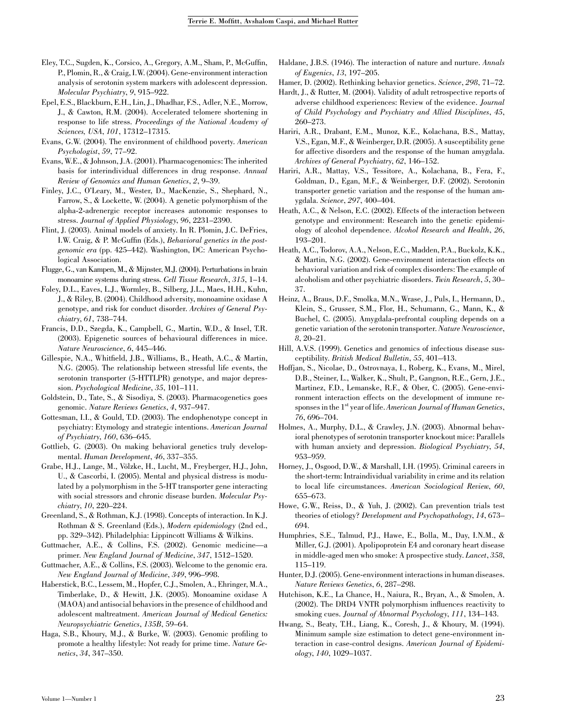- Eley, T.C., Sugden, K., Corsico, A., Gregory, A.M., Sham, P., McGuffin, P., Plomin, R., & Craig, I.W. (2004). Gene-environment interaction analysis of serotonin system markers with adolescent depression. Molecular Psychiatry, 9, 915–922.
- Epel, E.S., Blackburn, E.H., Lin, J., Dhadhar, F.S., Adler, N.E., Morrow, J., & Cawton, R.M. (2004). Accelerated telomere shortening in response to life stress. Proceedings of the National Academy of Sciences, USA, 101, 17312–17315.
- Evans, G.W. (2004). The environment of childhood poverty. American Psychologist, 59, 77–92.
- Evans, W.E., & Johnson, J.A. (2001). Pharmacogenomics: The inherited basis for interindividual differences in drug response. Annual Review of Genomics and Human Genetics, 2, 9–39.
- Finley, J.C., O'Leary, M., Wester, D., MacKenzie, S., Shephard, N., Farrow, S., & Lockette, W. (2004). A genetic polymorphism of the alpha-2-adrenergic receptor increases autonomic responses to stress. Journal of Applied Physiology, 96, 2231–2390.
- Flint, J. (2003). Animal models of anxiety. In R. Plomin, J.C. DeFries, I.W. Craig, & P. McGuffin (Eds.), Behavioral genetics in the postgenomic era (pp. 425–442). Washington, DC: American Psychological Association.
- Flugge, G., van Kampen, M., & Mijnster, M.J. (2004). Perturbations in brain monoamine systems during stress. Cell Tissue Research, 315, 1–14.
- Foley, D.L., Eaves, L.J., Wormley, B., Silberg, J.L., Maes, H.H., Kuhn, J., & Riley, B. (2004). Childhood adversity, monoamine oxidase A genotype, and risk for conduct disorder. Archives of General Psychiatry, 61, 738–744.
- Francis, D.D., Szegda, K., Campbell, G., Martin, W.D., & Insel, T.R. (2003). Epigenetic sources of behavioural differences in mice. Nature Neuroscience, 6, 445–446.
- Gillespie, N.A., Whitfield, J.B., Williams, B., Heath, A.C., & Martin, N.G. (2005). The relationship between stressful life events, the serotonin transporter (5-HTTLPR) genotype, and major depression. Psychological Medicine, 35, 101–111.
- Goldstein, D., Tate, S., & Sisodiya, S. (2003). Pharmacogenetics goes genomic. Nature Reviews Genetics, 4, 937–947.
- Gottesman, I.I., & Gould, T.D. (2003). The endophenotype concept in psychiatry: Etymology and strategic intentions. American Journal of Psychiatry, 160, 636–645.
- Gottlieb, G. (2003). On making behavioral genetics truly developmental. Human Development, 46, 337–355.
- Grabe, H.J., Lange, M., Völzke, H., Lucht, M., Freyberger, H.J., John, U., & Cascorbi, I. (2005). Mental and physical distress is modulated by a polymorphism in the 5-HT transporter gene interacting with social stressors and chronic disease burden. Molecular Psychiatry, 10, 220–224.
- Greenland, S., & Rothman, K.J. (1998). Concepts of interaction. In K.J. Rothman & S. Greenland (Eds.), Modern epidemiology (2nd ed., pp. 329–342). Philadelphia: Lippincott Williams & Wilkins.
- Guttmacher, A.E., & Collins, F.S. (2002). Genomic medicineprimer. New England Journal of Medicine, 347, 1512–1520.
- Guttmacher, A.E., & Collins, F.S. (2003). Welcome to the genomic era. New England Journal of Medicine, 349, 996–998.
- Haberstick, B.C., Lessem, M., Hopfer, C.J., Smolen, A., Ehringer, M.A., Timberlake, D., & Hewitt, J.K. (2005). Monoamine oxidase A (MAOA) and antisocial behaviors in the presence of childhood and adolescent maltreatment. American Journal of Medical Genetics: Neuropsychiatric Genetics, 135B, 59–64.
- Haga, S.B., Khoury, M.J., & Burke, W. (2003). Genomic profiling to promote a healthy lifestyle: Not ready for prime time. Nature Genetics, 34, 347–350.
- Haldane, J.B.S. (1946). The interaction of nature and nurture. Annals of Eugenics, 13, 197–205.
- Hamer, D. (2002). Rethinking behavior genetics. Science, 298, 71–72.
- Hardt, J., & Rutter, M. (2004). Validity of adult retrospective reports of adverse childhood experiences: Review of the evidence. Journal of Child Psychology and Psychiatry and Allied Disciplines, 45, 260–273.
- Hariri, A.R., Drabant, E.M., Munoz, K.E., Kolachana, B.S., Mattay, V.S., Egan, M.F., & Weinberger, D.R. (2005). A susceptibility gene for affective disorders and the response of the human amygdala. Archives of General Psychiatry, 62, 146–152.
- Hariri, A.R., Mattay, V.S., Tessitore, A., Kolachana, B., Fera, F., Goldman, D., Egan, M.F., & Weinberger, D.F. (2002). Serotonin transporter genetic variation and the response of the human amygdala. Science, 297, 400–404.
- Heath, A.C., & Nelson, E.C. (2002). Effects of the interaction between genotype and environment: Research into the genetic epidemiology of alcohol dependence. Alcohol Research and Health, 26, 193–201.
- Heath, A.C., Todorov, A.A., Nelson, E.C., Madden, P.A., Buckolz, K.K., & Martin, N.G. (2002). Gene-environment interaction effects on behavioral variation and risk of complex disorders: The example of alcoholism and other psychiatric disorders. Twin Research, 5, 30– 37.
- Heinz, A., Braus, D.F., Smolka, M.N., Wrase, J., Puls, I., Hermann, D., Klein, S., Grusser, S.M., Flor, H., Schumann, G., Mann, K., & Buchel, C. (2005). Amygdala-prefrontal coupling depends on a genetic variation of the serotonin transporter. Nature Neuroscience, 8, 20–21.
- Hill, A.V.S. (1999). Genetics and genomics of infectious disease susceptibility. British Medical Bulletin, 55, 401–413.
- Hoffjan, S., Nicolae, D., Ostrovnaya, I., Roberg, K., Evans, M., Mirel, D.B., Steiner, L., Walker, K., Shult, P., Gangnon, R.E., Gern, J.E., Martinez, F.D., Lemanske, R.F., & Ober, C. (2005). Gene-environment interaction effects on the development of immune responses in the  $1<sup>st</sup>$  year of life. American Journal of Human Genetics, 76, 696–704.
- Holmes, A., Murphy, D.L., & Crawley, J.N. (2003). Abnormal behavioral phenotypes of serotonin transporter knockout mice: Parallels with human anxiety and depression. Biological Psychiatry, 54, 953–959.
- Horney, J., Osgood, D.W., & Marshall, I.H. (1995). Criminal careers in the short-term: Intraindividual variability in crime and its relation to local life circumstances. American Sociological Review, 60, 655–673.
- Howe, G.W., Reiss, D., & Yuh, J. (2002). Can prevention trials test theories of etiology? Development and Psychopathology, 14, 673– 694.
- Humphries, S.E., Talmud, P.J., Hawe, E., Bolla, M., Day, I.N.M., & Miller, G.J. (2001). Apolipoprotein E4 and coronary heart disease in middle-aged men who smoke: A prospective study. Lancet, 358, 115–119.
- Hunter, D.J. (2005). Gene-environment interactions in human diseases. Nature Reviews Genetics, 6, 287–298.
- Hutchison, K.E., La Chance, H., Naiura, R., Bryan, A., & Smolen, A. (2002). The DRD4 VNTR polymorphism influences reactivity to smoking cues. Journal of Abnormal Psychology, 111, 134–143.
- Hwang, S., Beaty, T.H., Liang, K., Coresh, J., & Khoury, M. (1994). Minimum sample size estimation to detect gene-environment interaction in case-control designs. American Journal of Epidemiology, 140, 1029–1037.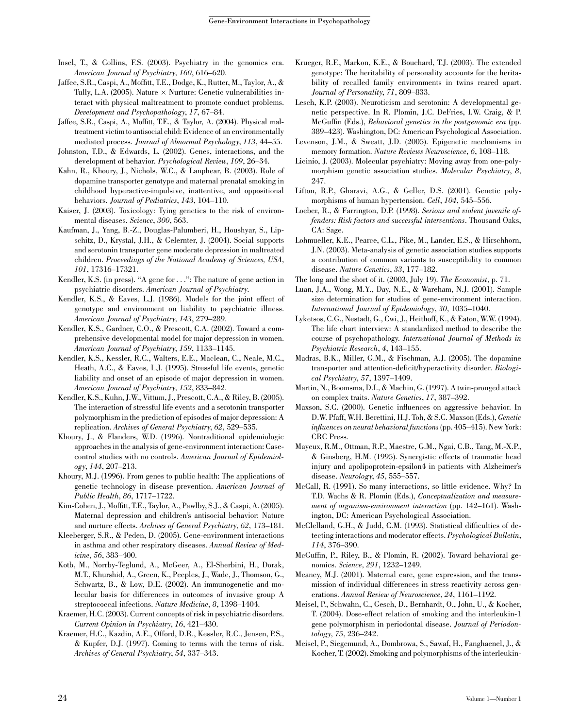- Insel, T., & Collins, F.S. (2003). Psychiatry in the genomics era. American Journal of Psychiatry, 160, 616–620.
- Jaffee, S.R., Caspi, A., Moffitt, T.E., Dodge, K., Rutter, M., Taylor, A., & Tully, L.A. (2005). Nature  $\times$  Nurture: Genetic vulnerabilities interact with physical maltreatment to promote conduct problems. Development and Psychopathology, 17, 67–84.
- Jaffee, S.R., Caspi, A., Moffitt, T.E., & Taylor, A. (2004). Physical maltreatment victim to antisocial child: Evidence of an environmentally mediated process. Journal of Abnormal Psychology, 113, 44–55.
- Johnston, T.D., & Edwards, L. (2002). Genes, interactions, and the development of behavior. Psychological Review, 109, 26–34.
- Kahn, R., Khoury, J., Nichols, W.C., & Lanphear, B. (2003). Role of dopamine transporter genotype and maternal prenatal smoking in childhood hyperactive-impulsive, inattentive, and oppositional behaviors. Journal of Pediatrics, 143, 104–110.
- Kaiser, J. (2003). Toxicology: Tying genetics to the risk of environmental diseases. Science, 300, 563.
- Kaufman, J., Yang, B.-Z., Douglas-Palumberi, H., Houshyar, S., Lipschitz, D., Krystal, J.H., & Gelernter, J. (2004). Social supports and serotonin transporter gene moderate depression in maltreated children. Proceedings of the National Academy of Sciences, USA, 101, 17316–17321.
- Kendler, K.S. (in press). "A gene for . . .": The nature of gene action in psychiatric disorders. American Journal of Psychiatry.
- Kendler, K.S., & Eaves, L.J. (1986). Models for the joint effect of genotype and environment on liability to psychiatric illness. American Journal of Psychiatry, 143, 279–289.
- Kendler, K.S., Gardner, C.O., & Prescott, C.A. (2002). Toward a comprehensive developmental model for major depression in women. American Journal of Psychiatry, 159, 1133–1145.
- Kendler, K.S., Kessler, R.C., Walters, E.E., Maclean, C., Neale, M.C., Heath, A.C., & Eaves, L.J. (1995). Stressful life events, genetic liability and onset of an episode of major depression in women. American Journal of Psychiatry, 152, 833–842.
- Kendler, K.S., Kuhn, J.W., Vittum, J., Prescott, C.A., & Riley, B. (2005). The interaction of stressful life events and a serotonin transporter polymorphism in the prediction of episodes of major depression: A replication. Archives of General Psychiatry, 62, 529–535.
- Khoury, J., & Flanders, W.D. (1996). Nontraditional epidemiologic approaches in the analysis of gene-environment interaction: Casecontrol studies with no controls. American Journal of Epidemiology, 144, 207–213.
- Khoury, M.J. (1996). From genes to public health: The applications of genetic technology in disease prevention. American Journal of Public Health, 86, 1717–1722.
- Kim-Cohen, J., Moffitt, T.E., Taylor, A., Pawlby, S.J., & Caspi, A. (2005). Maternal depression and children's antisocial behavior: Nature and nurture effects. Archives of General Psychiatry, 62, 173–181.
- Kleeberger, S.R., & Peden, D. (2005). Gene-environment interactions in asthma and other respiratory diseases. Annual Review of Medicine, 56, 383–400.
- Kotb, M., Norrby-Teglund, A., McGeer, A., El-Sherbini, H., Dorak, M.T., Khurshid, A., Green, K., Peeples, J., Wade, J., Thomson, G., Schwartz, B., & Low, D.E. (2002). An immunogenetic and molecular basis for differences in outcomes of invasive group A streptococcal infections. Nature Medicine, 8, 1398–1404.
- Kraemer, H.C. (2003). Current concepts of risk in psychiatric disorders. Current Opinion in Psychiatry, 16, 421–430.
- Kraemer, H.C., Kazdin, A.E., Offord, D.R., Kessler, R.C., Jensen, P.S., & Kupfer, D.J. (1997). Coming to terms with the terms of risk. Archives of General Psychiatry, 54, 337–343.
- Krueger, R.F., Markon, K.E., & Bouchard, T.J. (2003). The extended genotype: The heritability of personality accounts for the heritability of recalled family environments in twins reared apart. Journal of Personality, 71, 809–833.
- Lesch, K.P. (2003). Neuroticism and serotonin: A developmental genetic perspective. In R. Plomin, J.C. DeFries, I.W. Craig, & P. McGuffin (Eds.), Behavioral genetics in the postgenomic era (pp. 389–423). Washington, DC: American Psychological Association.
- Levenson, J.M., & Sweatt, J.D. (2005). Epigenetic mechanisms in memory formation. Nature Reviews Neuroscience, 6, 108–118.
- Licinio, J. (2003). Molecular psychiatry: Moving away from one-polymorphism genetic association studies. Molecular Psychiatry, 8, 247.
- Lifton, R.P., Gharavi, A.G., & Geller, D.S. (2001). Genetic polymorphisms of human hypertension. Cell, 104, 545–556.
- Loeber, R., & Farrington, D.P. (1998). Serious and violent juvenile offenders: Risk factors and successful interventions. Thousand Oaks, CA: Sage.
- Lohmueller, K.E., Pearce, C.L., Pike, M., Lander, E.S., & Hirschhorn, J.N. (2003). Meta-analysis of genetic association studies supports a contribution of common variants to susceptibility to common disease. Nature Genetics, 33, 177–182.
- The long and the short of it. (2003, July 19). The Economist, p. 71.
- Luan, J.A., Wong, M.Y., Day, N.E., & Wareham, N.J. (2001). Sample size determination for studies of gene-environment interaction. International Journal of Epidemiology, 30, 1035–1040.
- Lyketsos, C.G., Nestadt, G., Cwi, J., Heithoff, K., & Eaton, W.W. (1994). The life chart interview: A standardized method to describe the course of psychopathology. International Journal of Methods in Psychiatric Research, 4, 143–155.
- Madras, B.K., Miller, G.M., & Fischman, A.J. (2005). The dopamine transporter and attention-deficit/hyperactivity disorder. Biological Psychiatry, 57, 1397–1409.
- Martin, N., Boomsma, D.I., & Machin, G. (1997). A twin-pronged attack on complex traits. Nature Genetics, 17, 387–392.
- Maxson, S.C. (2000). Genetic influences on aggressive behavior. In D.W. Pfaff, W.H. Berettini, H.J. Toh, & S.C. Maxson (Eds.), Genetic influences on neural behavioral functions(pp. 405–415). New York: CRC Press.
- Mayeux, R.M., Ottman, R.P., Maestre, G.M., Ngai, C.B., Tang, M.-X.P., & Ginsberg, H.M. (1995). Synergistic effects of traumatic head injury and apolipoprotein-epsilon4 in patients with Alzheimer's disease. Neurology, 45, 555–557.
- McCall, R. (1991). So many interactions, so little evidence. Why? In T.D. Wachs & R. Plomin (Eds.), Conceptualization and measurement of organism-environment interaction (pp. 142–161). Washington, DC: American Psychological Association.
- McClelland, G.H., & Judd, C.M. (1993). Statistical difficulties of detecting interactions and moderator effects. Psychological Bulletin, 114, 376–390.
- McGuffin, P., Riley, B., & Plomin, R. (2002). Toward behavioral genomics. Science, 291, 1232–1249.
- Meaney, M.J. (2001). Maternal care, gene expression, and the transmission of individual differences in stress reactivity across generations. Annual Review of Neuroscience, 24, 1161–1192.
- Meisel, P., Schwahn, C., Gesch, D., Bernhardt, O., John, U., & Kocher, T. (2004). Dose-effect relation of smoking and the interleukin-1 gene polymorphism in periodontal disease. Journal of Periodontology, 75, 236–242.
- Meisel, P., Siegemund, A., Dombrowa, S., Sawaf, H., Fanghaenel, J., & Kocher, T. (2002). Smoking and polymorphisms of the interleukin-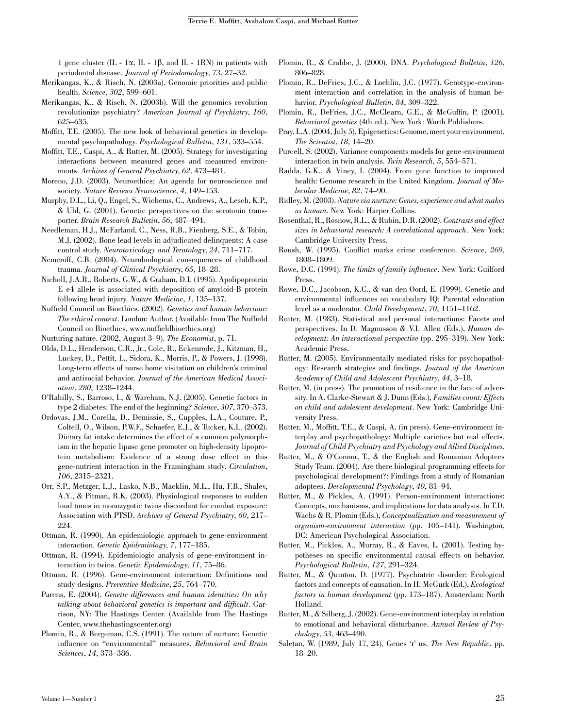1 gene cluster (IL -  $1\alpha$ , IL -  $1\beta$ , and IL -  $1RN$ ) in patients with periodontal disease. Journal of Periodontology, 73, 27–32.

- Merikangas, K., & Risch, N. (2003a). Genomic priorities and public health. Science, 302, 599–601.
- Merikangas, K., & Risch, N. (2003b). Will the genomics revolution revolutionize psychiatry? American Journal of Psychiatry, 160, 625–635.
- Moffitt, T.E. (2005). The new look of behavioral genetics in developmental psychopathology. Psychological Bulletin, 131, 533–554.
- Moffitt, T.E., Caspi, A., & Rutter, M. (2005). Strategy for investigating interactions between measured genes and measured environments. Archives of General Psychiatry, 62, 473–481.
- Moreno, J.D. (2003). Neuroethics: An agenda for neuroscience and society. Nature Reviews Neuroscience, 4, 149–153.
- Murphy, D.L., Li, Q., Engel, S., Wichems, C., Andrews, A., Lesch, K.P., & Uhl, G. (2001). Genetic perspectives on the serotonin transporter. Brain Research Bulletin, 56, 487–494.
- Needleman, H.J., McFarland, C., Ness, R.B., Fienberg, S.E., & Tobin, M.J. (2002). Bone lead levels in adjudicated delinquents: A case control study. Neurotoxicology and Teratology, 24, 711–717.
- Nemeroff, C.B. (2004). Neurobiological consequences of childhood trauma. Journal of Clinical Psychiatry, 65, 18–28.
- Nicholl, J.A.R., Roberts, G.W., & Graham, D.I. (1995). Apolipoprotein E e4 allele is associated with deposition of amyloid-B protein following head injury. Nature Medicine, 1, 135–137.
- Nuffield Council on Bioethics. (2002). Genetics and human behaviour: The ethical context. London: Author. (Available from The Nuffield Council on Bioethics, www.nuffieldbioethics.org)
- Nurturing nature. (2002, August 3–9). The Economist, p. 71.
- Olds, D.L., Henderson, C.R., Jr., Cole, R., Eckenrode, J., Kitzman, H., Luckey, D., Pettit, L., Sidora, K., Morris, P., & Powers, J. (1998). Long-term effects of nurse home visitation on children's criminal and antisocial behavior. Journal of the American Medical Association, 280, 1238–1244.
- O'Rahilly, S., Barroso, I., & Wareham, N.J. (2005). Genetic factors in type 2 diabetes: The end of the beginning? Science, 307, 370–373.
- Ordovas, J.M., Corella, D., Demissie, S., Cupples, L.A., Couture, P., Coltell, O., Wilson, P.W.F., Schaefer, E.J., & Tucker, K.L. (2002). Dietary fat intake determines the effect of a common polymorphism in the hepatic lipase gene promoter on high-density lipoprotein metabolism: Evidence of a strong dose effect in this gene-nutrient interaction in the Framingham study. Circulation, 106, 2315–2321.
- Orr, S.P., Metzger, L.J., Lasko, N.B., Macklin, M.L., Hu, F.B., Shalev, A.Y., & Pitman, R.K. (2003). Physiological responses to sudden loud tones in monozygotic twins discordant for combat exposure: Association with PTSD. Archives of General Psychiatry, 60, 217– 224.
- Ottman, R. (1990). An epidemiologic approach to gene-environment interaction. Genetic Epidemiology, 7, 177–185.
- Ottman, R. (1994). Epidemiologic analysis of gene-environment interaction in twins. Genetic Epidemiology, 11, 75–86.
- Ottman, R. (1996). Gene-environment interaction: Definitions and study designs. Preventive Medicine, 25, 764–770.
- Parens, E. (2004). Genetic differences and human identities: On why talking about behavioral genetics is important and difficult. Garrison, NY: The Hastings Center. (Available from The Hastings Center, www.thehastingscenter.org)
- Plomin, R., & Bergeman, C.S. (1991). The nature of nurture: Genetic influence on ''environmental'' measures. Behavioral and Brain Sciences, 14, 373–386.
- Plomin, R., & Crabbe, J. (2000). DNA. Psychological Bulletin, 126, 806–828.
- Plomin, R., DeFries, J.C., & Loehlin, J.C. (1977). Genotype-environment interaction and correlation in the analysis of human behavior. Psychological Bulletin, 84, 309–322.
- Plomin, R., DeFries, J.C., McClearn, G.E., & McGuffin, P. (2001). Behavioral genetics (4th ed.). New York: Worth Publishers.
- Pray, L.A. (2004, July 5). Epigenetics: Genome, meet your environment. The Scientist, 18, 14–20.
- Purcell, S. (2002). Variance components models for gene-environment interaction in twin analysis. Twin Research, 5, 554–571.
- Radda, G.K., & Viney, I. (2004). From gene function to improved health: Genome research in the United Kingdom. Journal of Molecular Medicine, 82, 74–90.
- Ridley, M. (2003). Nature via nurture: Genes, experience and what makes us human. New York: Harper Collins.
- Rosenthal, R., Rosnow, R.L., & Rubin, D.R. (2002). Contrasts and effect sizes in behavioral research: A correlational approach. New York: Cambridge University Press.
- Roush, W. (1995). Conflict marks crime conference. Science, 269, 1808–1809.
- Rowe, D.C. (1994). The limits of family influence. New York: Guilford Press.
- Rowe, D.C., Jacobson, K.C., & van den Oord, E. (1999). Genetic and environmental influences on vocabulary IQ: Parental education level as a moderator. Child Development, 70, 1151–1162.
- Rutter, M. (1983). Statistical and personal interactions: Facets and perspectives. In D. Magnusson & V.I. Allen (Eds.), Human development: An interactional perspective (pp. 295–319). New York: Academic Press.
- Rutter, M. (2005). Environmentally mediated risks for psychopathology: Research strategies and findings. Journal of the American Academy of Child and Adolescent Psychiatry, 44, 3–18.
- Rutter, M. (in press). The promotion of resilience in the face of adversity. In A. Clarke-Stewart & J. Dunn (Eds.), Families count: Effects on child and adolescent development. New York: Cambridge University Press.
- Rutter, M., Moffitt, T.E., & Caspi, A. (in press). Gene-environment interplay and psychopathology: Multiple varieties but real effects. Journal of Child Psychiatry and Psychology and Allied Disciplines.
- Rutter, M., & O'Connor, T., & the English and Romanian Adoptees Study Team. (2004). Are there biological programming effects for psychological development?: Findings from a study of Romanian adoptees. Developmental Psychology, 40, 81–94.
- Rutter, M., & Pickles, A. (1991). Person-environment interactions: Concepts, mechanisms, and implications for data analysis. In T.D. Wachs & R. Plomin (Eds.), Conceptualization and measurement of organism-environment interaction (pp. 105–141). Washington, DC: American Psychological Association.
- Rutter, M., Pickles, A., Murray, R., & Eaves, L. (2001). Testing hypotheses on specific environmental causal effects on behavior. Psychological Bulletin, 127, 291–324.
- Rutter, M., & Quinton, D. (1977). Psychiatric disorder: Ecological factors and concepts of causation. In H. McGurk (Ed.), Ecological factors in human development (pp. 173–187). Amsterdam: North Holland.
- Rutter, M., & Silberg, J. (2002). Gene-environment interplay in relation to emotional and behavioral disturbance. Annual Review of Psychology, 53, 463–490.
- Saletan, W. (1989, July 17, 24). Genes 'r' us. The New Republic, pp. 18–20.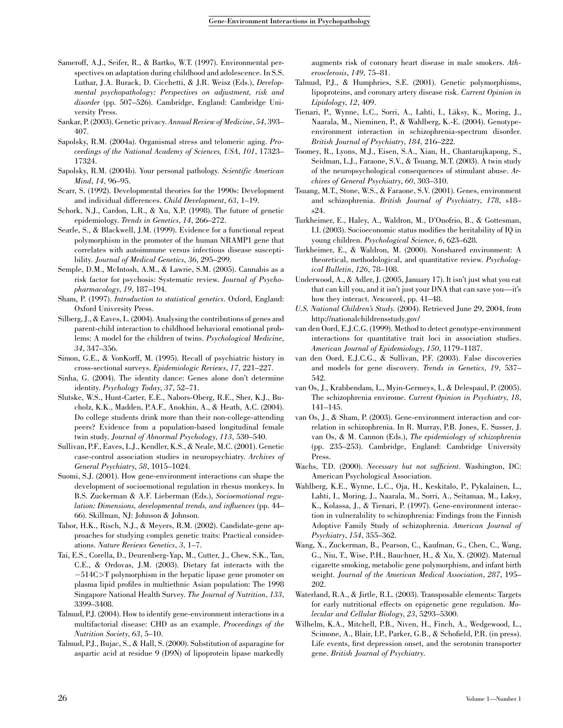- Sameroff, A.J., Seifer, R., & Bartko, W.T. (1997). Environmental perspectives on adaptation during childhood and adolescence. In S.S. Luthar, J.A. Burack, D. Cicchetti, & J.R. Weisz (Eds.), Developmental psychopathology: Perspectives on adjustment, risk and disorder (pp. 507–526). Cambridge, England: Cambridge University Press.
- Sankar, P. (2003). Genetic privacy. Annual Review of Medicine, 54, 393– 407.
- Sapolsky, R.M. (2004a). Organismal stress and telomeric aging. Proceedings of the National Academy of Sciences, USA, 101, 17323– 17324.
- Sapolsky, R.M. (2004b). Your personal pathology. Scientific American Mind, 14, 96–95.
- Scarr, S. (1992). Developmental theories for the 1990s: Development and individual differences. Child Development, 63, 1–19.
- Schork, N.J., Cardon, L.R., & Xu, X.P. (1998). The future of genetic epidemiology. Trends in Genetics, 14, 266–272.
- Searle, S., & Blackwell, J.M. (1999). Evidence for a functional repeat polymorphism in the promoter of the human NRAMP1 gene that correlates with autoimmune versus infectious disease susceptibility. Journal of Medical Genetics, 36, 295–299.
- Semple, D.M., McIntosh, A.M., & Lawrie, S.M. (2005). Cannabis as a risk factor for psychosis: Systematic review. Journal of Psychopharmacology, 19, 187–194.
- Sham, P. (1997). Introduction to statistical genetics. Oxford, England: Oxford University Press.
- Silberg, J., & Eaves, L. (2004). Analysing the contributions of genes and parent-child interaction to childhood behavioral emotional problems: A model for the children of twins. Psychological Medicine, 34, 347–356.
- Simon, G.E., & VonKorff, M. (1995). Recall of psychiatric history in cross-sectional surveys. Epidemiologic Reviews, 17, 221–227.
- Sinha, G. (2004). The identity dance: Genes alone don't determine identity. Psychology Today, 37, 52–71.
- Slutske, W.S., Hunt-Carter, E.E., Nabors-Oberg, R.E., Sher, K.J., Bucholz, K.K., Madden, P.A.F., Anokhin, A., & Heath, A.C. (2004). Do college students drink more than their non-college-attending peers? Evidence from a population-based longitudinal female twin study. Journal of Abnormal Psychology, 113, 530–540.
- Sullivan, P.F., Eaves, L.J., Kendler, K.S., & Neale, M.C. (2001). Genetic case-control association studies in neuropsychiatry. Archives of General Psychiatry, 58, 1015–1024.
- Suomi, S.J. (2001). How gene-environment interactions can shape the development of socioemotional regulation in rhesus monkeys. In B.S. Zuckerman & A.F. Lieberman (Eds.), Socioemotional regulation: Dimensions, developmental trends, and influences (pp. 44– 66). Skillman, NJ: Johnson & Johnson.
- Tabor, H.K., Risch, N.J., & Meyers, R.M. (2002). Candidate-gene approaches for studying complex genetic traits: Practical considerations. Nature Reviews Genetics, 3, 1–7.
- Tai, E.S., Corella, D., Deurenberg-Yap, M., Cutter, J., Chew, S.K., Tan, C.E., & Ordovas, J.M. (2003). Dietary fat interacts with the -514C>T polymorphism in the hepatic lipase gene promoter on plasma lipid profiles in multiethnic Asian population: The 1998 Singapore National Health Survey. The Journal of Nutrition, 133, 3399–3408.
- Talmud, P.J. (2004). How to identify gene-environment interactions in a multifactorial disease: CHD as an example. Proceedings of the Nutrition Society, 63, 5–10.
- Talmud, P.J., Bujac, S., & Hall, S. (2000). Substitution of asparagine for aspartic acid at residue 9 (D9N) of lipoprotein lipase markedly

augments risk of coronary heart disease in male smokers. Atherosclerosis, 149, 75–81.

- Talmud, P.J., & Humphries, S.E. (2001). Genetic polymorphisms, lipoproteins, and coronary artery disease risk. Current Opinion in Lipidology, 12, 409.
- Tienari, P., Wynne, L.C., Sorri, A., Lahti, I., Läksy, K., Moring, J., Naarala, M., Nieminen, P., & Wahlberg, K.-E. (2004). Genotypeenvironment interaction in schizophrenia-spectrum disorder. British Journal of Psychiatry, 184, 216–222.
- Toomey, R., Lyons, M.J., Eisen, S.A., Xian, H., Chantarujkapong, S., Seidman, L.J., Faraone, S.V., & Tsuang, M.T. (2003). A twin study of the neuropsychological consequences of stimulant abuse. Archives of General Psychiatry, 60, 303–310.
- Tsuang, M.T., Stone, W.S., & Faraone, S.V. (2001). Genes, environment and schizophrenia. British Journal of Psychiatry, 178, s18– s24.
- Turkheimer, E., Haley, A., Waldron, M., D'Onofrio, B., & Gottesman, I.I. (2003). Socioeconomic status modifies the heritability of IQ in young children. Psychological Science, 6, 623–628.
- Turkheimer, E., & Waldron, M. (2000). Nonshared environment: A theoretical, methodological, and quantitative review. Psychological Bulletin, 126, 78–108.
- Underwood, A., & Adler, J. (2005, January 17). It isn't just what you eat that can kill you, and it isn't just your DNA that can save you—it's how they interact. Newsweek, pp. 41–48.
- U.S. National Children's Study. (2004). Retrieved June 29, 2004, from http://nationalchildrensstudy.gov/
- van den Oord, E.J.C.G. (1999). Method to detect genotype-environment interactions for quantitative trait loci in association studies. American Journal of Epidemiology, 150, 1179–1187.
- van den Oord, E.J.C.G., & Sullivan, P.F. (2003). False discoveries and models for gene discovery. Trends in Genetics, 19, 537– 542.
- van Os, J., Krabbendam, L., Myin-Germeys, I., & Delespaul, P. (2005). The schizophrenia envirome. Current Opinion in Psychiatry, 18, 141–145.
- van Os, J., & Sham, P. (2003). Gene-environment interaction and correlation in schizophrenia. In R. Murray, P.B. Jones, E. Susser, J. van Os, & M. Cannon (Eds.), The epidemiology of schizophrenia (pp. 235–253). Cambridge, England: Cambridge University Press.
- Wachs, T.D. (2000). Necessary but not sufficient. Washington, DC: American Psychological Association.
- Wahlberg, K.E., Wynne, L.C., Oja, H., Keskitalo, P., Pykalainen, L., Lahti, I., Moring, J., Naarala, M., Sorri, A., Seitamaa, M., Laksy, K., Kolassa, J., & Tienari, P. (1997). Gene-environment interaction in vulnerability to schizophrenia: Findings from the Finnish Adoptive Family Study of schizophrenia. American Journal of Psychiatry, 154, 355–362.
- Wang, X., Zuckerman, B., Pearson, C., Kaufman, G., Chen, C., Wang, G., Niu, T., Wise, P.H., Bauchner, H., & Xu, X. (2002). Maternal cigarette smoking, metabolic gene polymorphism, and infant birth weight. Journal of the American Medical Association, 287, 195– 202.
- Waterland, R.A., & Jirtle, R.L. (2003). Transposable elements: Targets for early nutritional effects on epigenetic gene regulation. Molecular and Cellular Biology, 23, 5293–5300.
- Wilhelm, K.A., Mitchell, P.B., Niven, H., Finch, A., Wedgewood, L., Scimone, A., Blair, I.P., Parker, G.B., & Schofield, P.R. (in press). Life events, first depression onset, and the serotonin transporter gene. British Journal of Psychiatry.